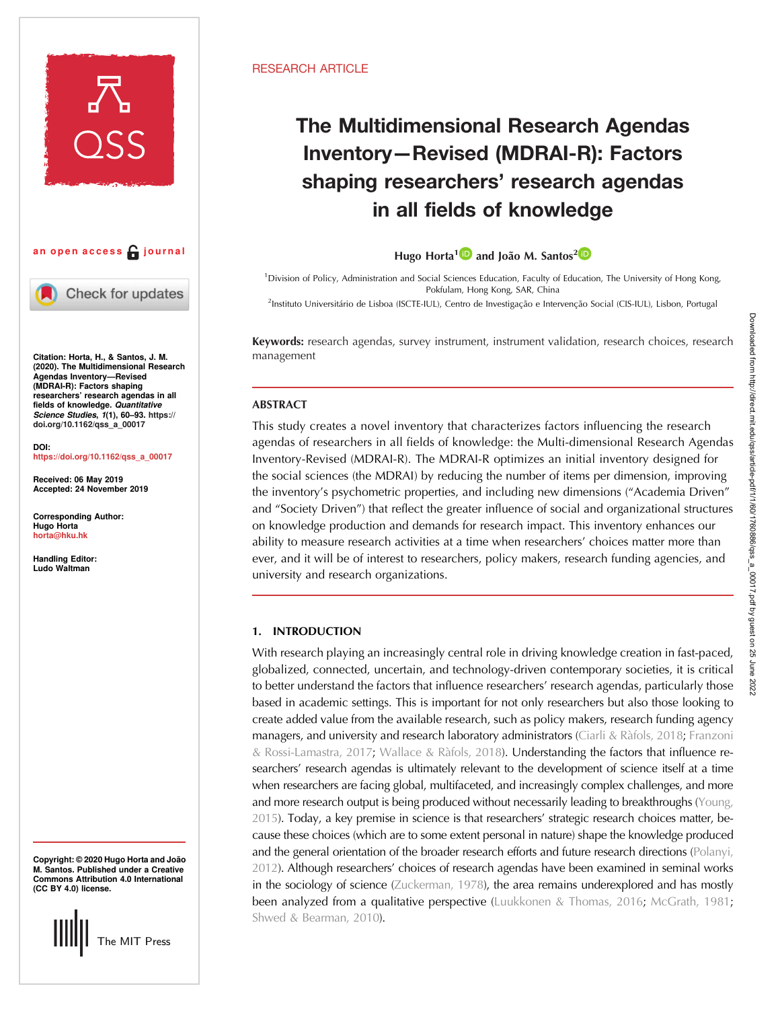

# an open access  $\bigcap$  journal

Check for updates

Citation: Horta, H., & Santos, J. M. (2020). The Multidimensional Research Agendas Inventory—Revised (MDRAI-R): Factors shaping researchers' research agendas in all fields of knowledge. Quantitative Science Studies, 1(1), 60–93. [https://](https://doi.org/10.1162/qss_a_00017) [doi.org/10.1162/qss\\_a\\_00017](https://doi.org/10.1162/qss_a_00017)

DOI: [https://doi.org/10.1162/qss\\_a\\_00017](https://doi.org/10.1162/qss_a_00017)

Received: 06 May 2019 Accepted: 24 November 2019

Handling Editor:

Corresponding Author: Hugo Horta [horta@hku.hk](mailto:horta@hku.hk)

Ludo Waltman

RESEARCH ARTICLE

# The Multidimensional Research Agendas Inventory—Revised (MDRAI-R): Factors shaping researchers' research agendas in all fields of knowledge

Hugo Horta<sup>[1](https://orcid.org/0000-0001-6814-1393)</sup><sup>D</sup> and João M. Santos<sup>2</sup><sup>D</sup>

<sup>1</sup> Division of Policy, Administration and Social Sciences Education, Faculty of Education, The University of Hong Kong, Pokfulam, Hong Kong, SAR, China

2 Instituto Universitário de Lisboa (ISCTE-IUL), Centro de Investigação e Intervenção Social (CIS-IUL), Lisbon, Portugal

Keywords: research agendas, survey instrument, instrument validation, research choices, research management

# ABSTRACT

This study creates a novel inventory that characterizes factors influencing the research agendas of researchers in all fields of knowledge: the Multi-dimensional Research Agendas Inventory-Revised (MDRAI-R). The MDRAI-R optimizes an initial inventory designed for the social sciences (the MDRAI) by reducing the number of items per dimension, improving the inventory's psychometric properties, and including new dimensions ("Academia Driven" and "Society Driven") that reflect the greater influence of social and organizational structures on knowledge production and demands for research impact. This inventory enhances our ability to measure research activities at a time when researchers' choices matter more than ever, and it will be of interest to researchers, policy makers, research funding agencies, and university and research organizations.

# 1. INTRODUCTION

With research playing an increasingly central role in driving knowledge creation in fast-paced, globalized, connected, uncertain, and technology-driven contemporary societies, it is critical to better understand the factors that influence researchers' research agendas, particularly those based in academic settings. This is important for not only researchers but also those looking to create added value from the available research, such as policy makers, research funding agency managers, and university and research laboratory administrators [\(Ciarli & Ràfols, 2018](#page-24-0); [Franzoni](#page-24-0) [& Rossi-Lamastra, 2017](#page-24-0); [Wallace & Ràfols, 2018\)](#page-25-0). Understanding the factors that influence researchers' research agendas is ultimately relevant to the development of science itself at a time when researchers are facing global, multifaceted, and increasingly complex challenges, and more and more research output is being produced without necessarily leading to breakthroughs [\(Young,](#page-25-0) [2015](#page-25-0)). Today, a key premise in science is that researchers' strategic research choices matter, because these choices (which are to some extent personal in nature) shape the knowledge produced and the general orientation of the broader research efforts and future research directions [\(Polanyi,](#page-25-0) [2012](#page-25-0)). Although researchers' choices of research agendas have been examined in seminal works in the sociology of science [\(Zuckerman, 1978\)](#page-25-0), the area remains underexplored and has mostly been analyzed from a qualitative perspective [\(Luukkonen & Thomas, 2016;](#page-24-0) [McGrath, 1981](#page-24-0); [Shwed & Bearman, 2010\)](#page-25-0).

Copyright: © 2020 Hugo Horta and João M. Santos. Published under a Creative Commons Attribution 4.0 International (CC BY 4.0) license.

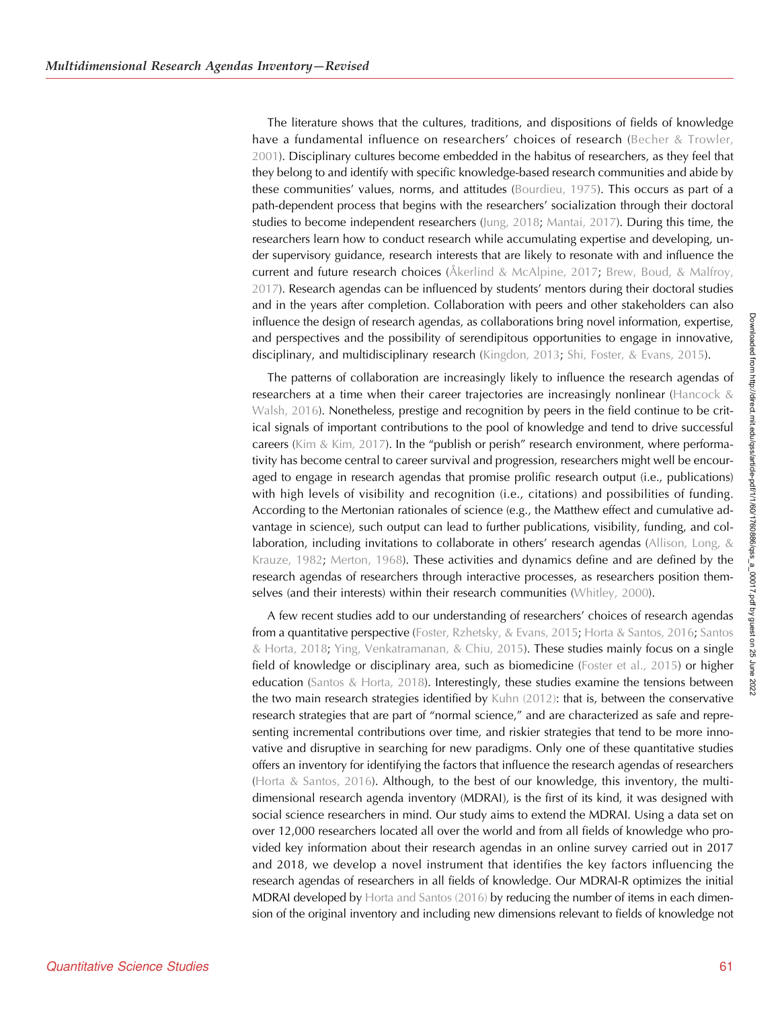The literature shows that the cultures, traditions, and dispositions of fields of knowledge have a fundamental influence on researchers' choices of research [\(Becher & Trowler,](#page-23-0) [2001\)](#page-23-0). Disciplinary cultures become embedded in the habitus of researchers, as they feel that they belong to and identify with specific knowledge-based research communities and abide by these communities' values, norms, and attitudes [\(Bourdieu, 1975\)](#page-23-0). This occurs as part of a path-dependent process that begins with the researchers' socialization through their doctoral studies to become independent researchers ([Jung, 2018;](#page-24-0) [Mantai, 2017\)](#page-24-0). During this time, the researchers learn how to conduct research while accumulating expertise and developing, under supervisory guidance, research interests that are likely to resonate with and influence the current and future research choices ([Åkerlind & McAlpine, 2017;](#page-23-0) [Brew, Boud, & Malfroy,](#page-23-0) [2017\)](#page-23-0). Research agendas can be influenced by students' mentors during their doctoral studies and in the years after completion. Collaboration with peers and other stakeholders can also influence the design of research agendas, as collaborations bring novel information, expertise, and perspectives and the possibility of serendipitous opportunities to engage in innovative, disciplinary, and multidisciplinary research [\(Kingdon, 2013;](#page-24-0) [Shi, Foster, & Evans, 2015](#page-25-0)).

The patterns of collaboration are increasingly likely to influence the research agendas of researchers at a time when their career trajectories are increasingly nonlinear [\(Hancock &](#page-24-0) [Walsh, 2016](#page-24-0)). Nonetheless, prestige and recognition by peers in the field continue to be critical signals of important contributions to the pool of knowledge and tend to drive successful careers [\(Kim & Kim, 2017\)](#page-24-0). In the "publish or perish" research environment, where performativity has become central to career survival and progression, researchers might well be encouraged to engage in research agendas that promise prolific research output (i.e., publications) with high levels of visibility and recognition (i.e., citations) and possibilities of funding. According to the Mertonian rationales of science (e.g., the Matthew effect and cumulative advantage in science), such output can lead to further publications, visibility, funding, and col-laboration, including invitations to collaborate in others' research agendas [\(Allison, Long, &](#page-23-0) [Krauze, 1982;](#page-23-0) [Merton, 1968](#page-24-0)). These activities and dynamics define and are defined by the research agendas of researchers through interactive processes, as researchers position them-selves (and their interests) within their research communities ([Whitley, 2000](#page-25-0)).

A few recent studies add to our understanding of researchers' choices of research agendas from a quantitative perspective [\(Foster, Rzhetsky, & Evans, 2015](#page-24-0); [Horta & Santos, 2016](#page-24-0); [Santos](#page-25-0) [& Horta, 2018](#page-25-0); [Ying, Venkatramanan, & Chiu, 2015](#page-25-0)). These studies mainly focus on a single field of knowledge or disciplinary area, such as biomedicine ([Foster et al., 2015](#page-24-0)) or higher education [\(Santos & Horta, 2018](#page-25-0)). Interestingly, these studies examine the tensions between the two main research strategies identified by [Kuhn \(2012\):](#page-24-0) that is, between the conservative research strategies that are part of "normal science," and are characterized as safe and representing incremental contributions over time, and riskier strategies that tend to be more innovative and disruptive in searching for new paradigms. Only one of these quantitative studies offers an inventory for identifying the factors that influence the research agendas of researchers ([Horta & Santos, 2016\)](#page-24-0). Although, to the best of our knowledge, this inventory, the multidimensional research agenda inventory (MDRAI), is the first of its kind, it was designed with social science researchers in mind. Our study aims to extend the MDRAI. Using a data set on over 12,000 researchers located all over the world and from all fields of knowledge who provided key information about their research agendas in an online survey carried out in 2017 and 2018, we develop a novel instrument that identifies the key factors influencing the research agendas of researchers in all fields of knowledge. Our MDRAI-R optimizes the initial MDRAI developed by [Horta and Santos \(2016\)](#page-24-0) by reducing the number of items in each dimension of the original inventory and including new dimensions relevant to fields of knowledge not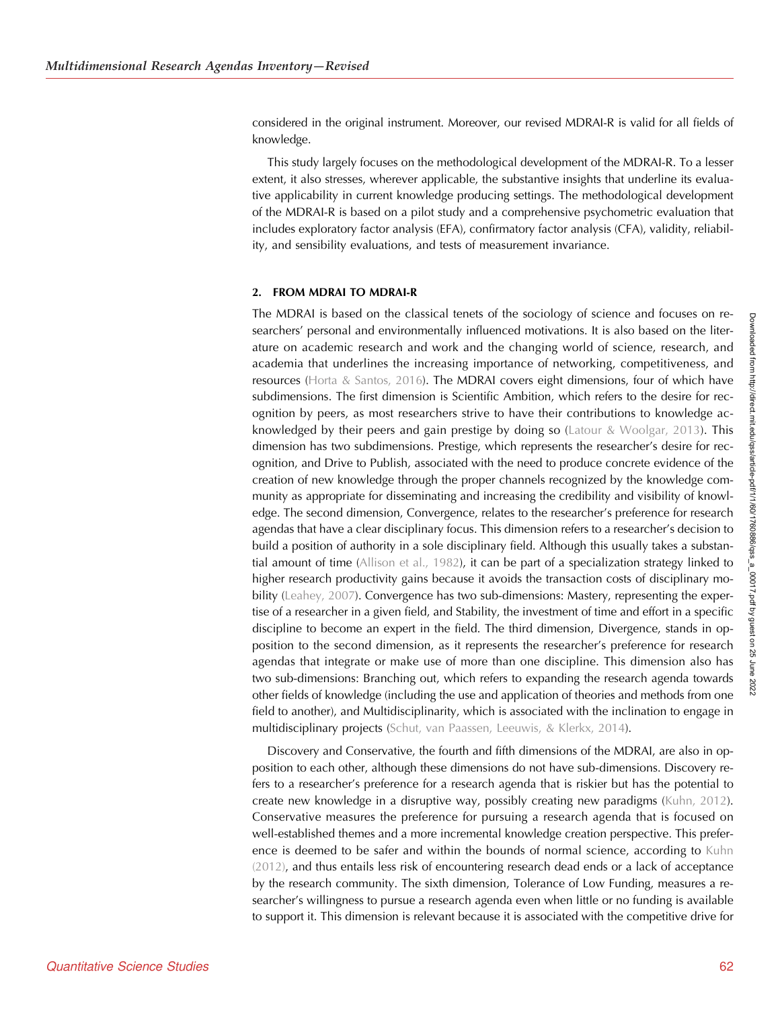considered in the original instrument. Moreover, our revised MDRAI-R is valid for all fields of knowledge.

This study largely focuses on the methodological development of the MDRAI-R. To a lesser extent, it also stresses, wherever applicable, the substantive insights that underline its evaluative applicability in current knowledge producing settings. The methodological development of the MDRAI-R is based on a pilot study and a comprehensive psychometric evaluation that includes exploratory factor analysis (EFA), confirmatory factor analysis (CFA), validity, reliability, and sensibility evaluations, and tests of measurement invariance.

#### 2. FROM MDRAI TO MDRAI-R

The MDRAI is based on the classical tenets of the sociology of science and focuses on researchers' personal and environmentally influenced motivations. It is also based on the literature on academic research and work and the changing world of science, research, and academia that underlines the increasing importance of networking, competitiveness, and resources [\(Horta & Santos, 2016\)](#page-24-0). The MDRAI covers eight dimensions, four of which have subdimensions. The first dimension is Scientific Ambition, which refers to the desire for recognition by peers, as most researchers strive to have their contributions to knowledge ac-knowledged by their peers and gain prestige by doing so [\(Latour & Woolgar, 2013](#page-24-0)). This dimension has two subdimensions. Prestige, which represents the researcher's desire for recognition, and Drive to Publish, associated with the need to produce concrete evidence of the creation of new knowledge through the proper channels recognized by the knowledge community as appropriate for disseminating and increasing the credibility and visibility of knowledge. The second dimension, Convergence, relates to the researcher's preference for research agendas that have a clear disciplinary focus. This dimension refers to a researcher's decision to build a position of authority in a sole disciplinary field. Although this usually takes a substantial amount of time [\(Allison et al., 1982\)](#page-23-0), it can be part of a specialization strategy linked to higher research productivity gains because it avoids the transaction costs of disciplinary mo-bility ([Leahey, 2007\)](#page-24-0). Convergence has two sub-dimensions: Mastery, representing the expertise of a researcher in a given field, and Stability, the investment of time and effort in a specific discipline to become an expert in the field. The third dimension, Divergence, stands in opposition to the second dimension, as it represents the researcher's preference for research agendas that integrate or make use of more than one discipline. This dimension also has two sub-dimensions: Branching out, which refers to expanding the research agenda towards other fields of knowledge (including the use and application of theories and methods from one field to another), and Multidisciplinarity, which is associated with the inclination to engage in multidisciplinary projects [\(Schut, van Paassen, Leeuwis, & Klerkx, 2014\)](#page-25-0).

Discovery and Conservative, the fourth and fifth dimensions of the MDRAI, are also in opposition to each other, although these dimensions do not have sub-dimensions. Discovery refers to a researcher's preference for a research agenda that is riskier but has the potential to create new knowledge in a disruptive way, possibly creating new paradigms [\(Kuhn, 2012\)](#page-24-0). Conservative measures the preference for pursuing a research agenda that is focused on well-established themes and a more incremental knowledge creation perspective. This preference is deemed to be safer and within the bounds of normal science, according to [Kuhn](#page-24-0) [\(2012\)](#page-24-0), and thus entails less risk of encountering research dead ends or a lack of acceptance by the research community. The sixth dimension, Tolerance of Low Funding, measures a researcher's willingness to pursue a research agenda even when little or no funding is available to support it. This dimension is relevant because it is associated with the competitive drive for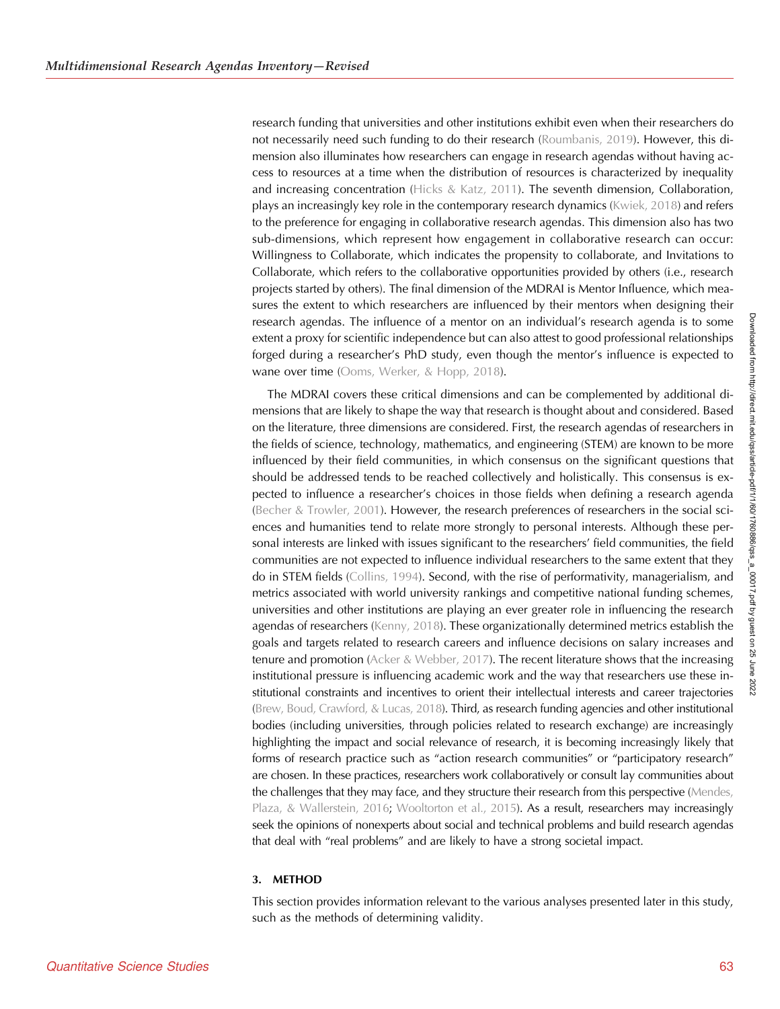research funding that universities and other institutions exhibit even when their researchers do not necessarily need such funding to do their research [\(Roumbanis, 2019](#page-25-0)). However, this dimension also illuminates how researchers can engage in research agendas without having access to resources at a time when the distribution of resources is characterized by inequality and increasing concentration ([Hicks & Katz, 2011\)](#page-24-0). The seventh dimension, Collaboration, plays an increasingly key role in the contemporary research dynamics [\(Kwiek, 2018](#page-24-0)) and refers to the preference for engaging in collaborative research agendas. This dimension also has two sub-dimensions, which represent how engagement in collaborative research can occur: Willingness to Collaborate, which indicates the propensity to collaborate, and Invitations to Collaborate, which refers to the collaborative opportunities provided by others (i.e., research projects started by others). The final dimension of the MDRAI is Mentor Influence, which measures the extent to which researchers are influenced by their mentors when designing their research agendas. The influence of a mentor on an individual's research agenda is to some extent a proxy for scientific independence but can also attest to good professional relationships forged during a researcher's PhD study, even though the mentor's influence is expected to wane over time [\(Ooms, Werker, & Hopp, 2018\)](#page-24-0).

The MDRAI covers these critical dimensions and can be complemented by additional dimensions that are likely to shape the way that research is thought about and considered. Based on the literature, three dimensions are considered. First, the research agendas of researchers in the fields of science, technology, mathematics, and engineering (STEM) are known to be more influenced by their field communities, in which consensus on the significant questions that should be addressed tends to be reached collectively and holistically. This consensus is expected to influence a researcher's choices in those fields when defining a research agenda ([Becher & Trowler, 2001\)](#page-23-0). However, the research preferences of researchers in the social sciences and humanities tend to relate more strongly to personal interests. Although these personal interests are linked with issues significant to the researchers' field communities, the field communities are not expected to influence individual researchers to the same extent that they do in STEM fields [\(Collins, 1994\)](#page-24-0). Second, with the rise of performativity, managerialism, and metrics associated with world university rankings and competitive national funding schemes, universities and other institutions are playing an ever greater role in influencing the research agendas of researchers ([Kenny, 2018](#page-24-0)). These organizationally determined metrics establish the goals and targets related to research careers and influence decisions on salary increases and tenure and promotion ([Acker & Webber, 2017](#page-23-0)). The recent literature shows that the increasing institutional pressure is influencing academic work and the way that researchers use these institutional constraints and incentives to orient their intellectual interests and career trajectories [\(Brew, Boud, Crawford, & Lucas, 2018](#page-23-0)). Third, as research funding agencies and other institutional bodies (including universities, through policies related to research exchange) are increasingly highlighting the impact and social relevance of research, it is becoming increasingly likely that forms of research practice such as "action research communities" or "participatory research" are chosen. In these practices, researchers work collaboratively or consult lay communities about the challenges that they may face, and they structure their research from this perspective ([Mendes,](#page-24-0) [Plaza, & Wallerstein, 2016;](#page-24-0) [Wooltorton et al., 2015\)](#page-25-0). As a result, researchers may increasingly seek the opinions of nonexperts about social and technical problems and build research agendas that deal with "real problems" and are likely to have a strong societal impact.

#### 3. METHOD

This section provides information relevant to the various analyses presented later in this study, such as the methods of determining validity.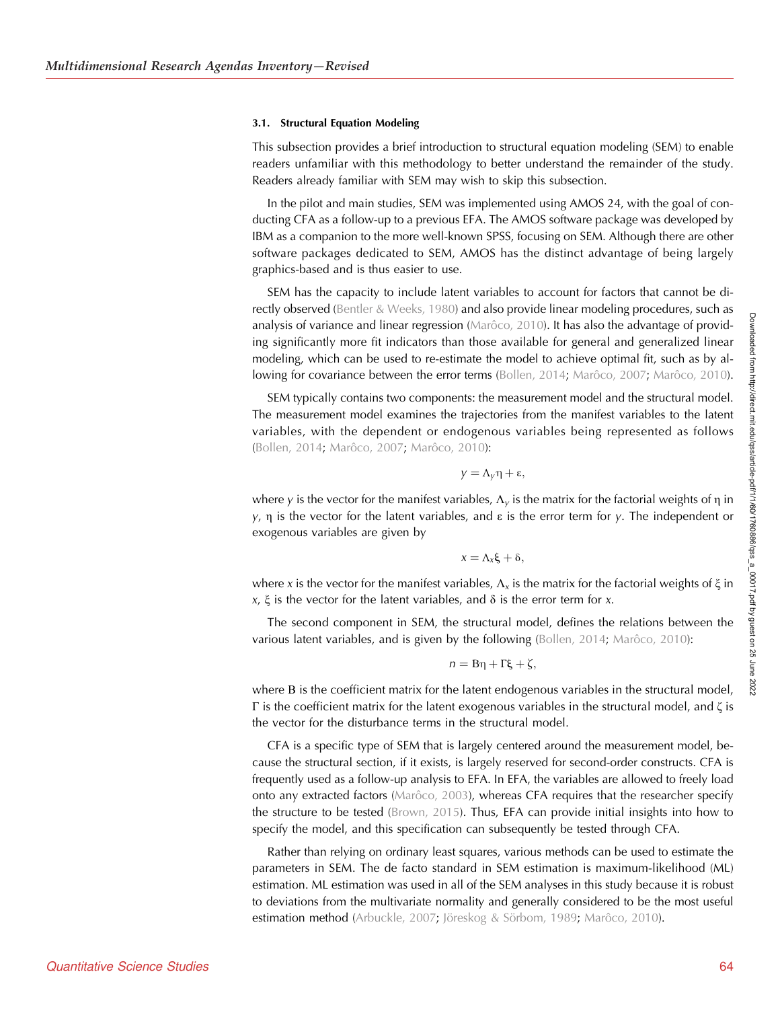#### 3.1. Structural Equation Modeling

This subsection provides a brief introduction to structural equation modeling (SEM) to enable readers unfamiliar with this methodology to better understand the remainder of the study. Readers already familiar with SEM may wish to skip this subsection.

In the pilot and main studies, SEM was implemented using AMOS 24, with the goal of conducting CFA as a follow-up to a previous EFA. The AMOS software package was developed by IBM as a companion to the more well-known SPSS, focusing on SEM. Although there are other software packages dedicated to SEM, AMOS has the distinct advantage of being largely graphics-based and is thus easier to use.

SEM has the capacity to include latent variables to account for factors that cannot be directly observed [\(Bentler & Weeks, 1980](#page-23-0)) and also provide linear modeling procedures, such as analysis of variance and linear regression [\(Marôco, 2010\)](#page-24-0). It has also the advantage of providing significantly more fit indicators than those available for general and generalized linear modeling, which can be used to re-estimate the model to achieve optimal fit, such as by allowing for covariance between the error terms ([Bollen, 2014](#page-23-0); [Marôco, 2007;](#page-24-0) [Marôco, 2010\)](#page-24-0).

SEM typically contains two components: the measurement model and the structural model. The measurement model examines the trajectories from the manifest variables to the latent variables, with the dependent or endogenous variables being represented as follows ([Bollen, 2014](#page-23-0); [Marôco, 2007;](#page-24-0) [Marôco, 2010\)](#page-24-0):

$$
y=\Lambda_y\eta+\epsilon,
$$

where y is the vector for the manifest variables,  $\Lambda_{v}$  is the matrix for the factorial weights of  $\eta$  in y, η is the vector for the latent variables, and  $ε$  is the error term for y. The independent or exogenous variables are given by

$$
x=\Lambda_x\xi+\delta,
$$

where x is the vector for the manifest variables,  $\Lambda_{x}$  is the matrix for the factorial weights of  $\xi$  in  $x, \xi$  is the vector for the latent variables, and  $\delta$  is the error term for x.

The second component in SEM, the structural model, defines the relations between the various latent variables, and is given by the following ([Bollen, 2014;](#page-23-0) [Marôco, 2010](#page-24-0)):

$$
n = B\eta + \Gamma \xi + \zeta,
$$

where Β is the coefficient matrix for the latent endogenous variables in the structural model,  $Γ$  is the coefficient matrix for the latent exogenous variables in the structural model, and ζ is the vector for the disturbance terms in the structural model.

CFA is a specific type of SEM that is largely centered around the measurement model, because the structural section, if it exists, is largely reserved for second-order constructs. CFA is frequently used as a follow-up analysis to EFA. In EFA, the variables are allowed to freely load onto any extracted factors ([Marôco, 2003\)](#page-24-0), whereas CFA requires that the researcher specify the structure to be tested [\(Brown, 2015](#page-23-0)). Thus, EFA can provide initial insights into how to specify the model, and this specification can subsequently be tested through CFA.

Rather than relying on ordinary least squares, various methods can be used to estimate the parameters in SEM. The de facto standard in SEM estimation is maximum-likelihood (ML) estimation. ML estimation was used in all of the SEM analyses in this study because it is robust to deviations from the multivariate normality and generally considered to be the most useful estimation method [\(Arbuckle, 2007;](#page-23-0) [Jöreskog & Sörbom, 1989](#page-24-0); [Marôco, 2010\)](#page-24-0).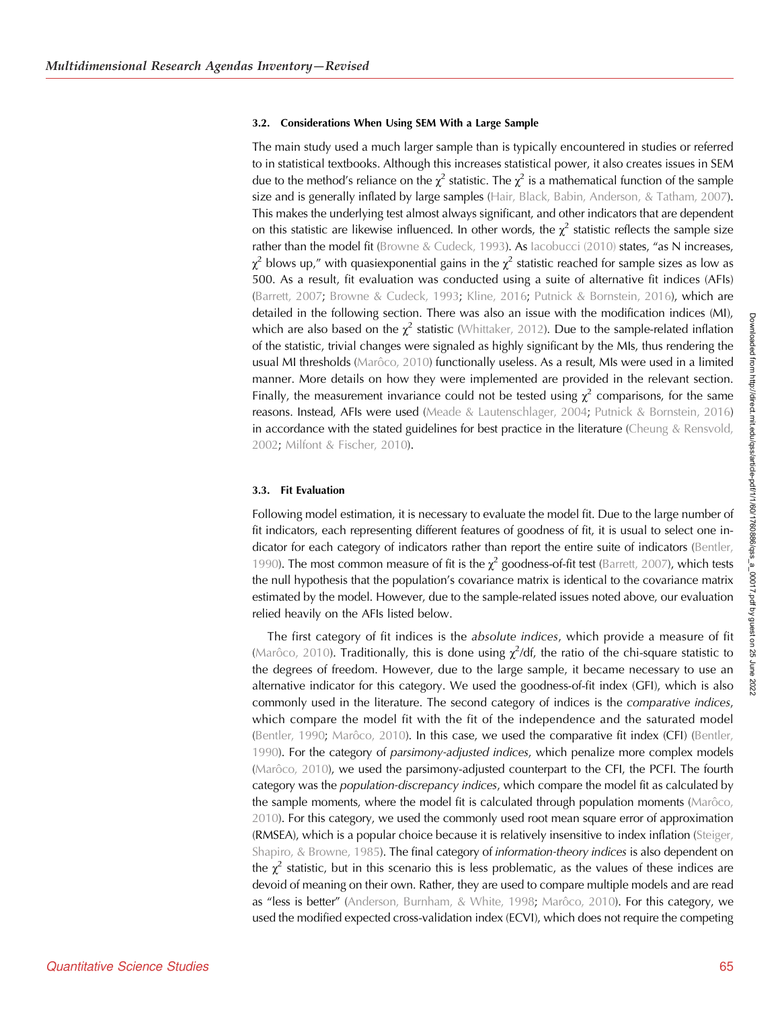#### 3.2. Considerations When Using SEM With a Large Sample

The main study used a much larger sample than is typically encountered in studies or referred to in statistical textbooks. Although this increases statistical power, it also creates issues in SEM due to the method's reliance on the  $\chi^2$  statistic. The  $\chi^2$  is a mathematical function of the sample size and is generally inflated by large samples [\(Hair, Black, Babin, Anderson, & Tatham, 2007\)](#page-24-0). This makes the underlying test almost always significant, and other indicators that are dependent on this statistic are likewise influenced. In other words, the  $\chi^2$  statistic reflects the sample size rather than the model fit [\(Browne & Cudeck, 1993\)](#page-23-0). As lacobucci (2010) states, "as N increases,  $\chi^2$  blows up," with quasiexponential gains in the  $\chi^2$  statistic reached for sample sizes as low as 500. As a result, fit evaluation was conducted using a suite of alternative fit indices (AFIs) [\(Barrett, 2007](#page-23-0); [Browne & Cudeck, 1993;](#page-23-0) [Kline, 2016;](#page-24-0) [Putnick & Bornstein, 2016\)](#page-25-0), which are detailed in the following section. There was also an issue with the modification indices (MI), which are also based on the  $\chi^2$  statistic ([Whittaker, 2012](#page-25-0)). Due to the sample-related inflation of the statistic, trivial changes were signaled as highly significant by the MIs, thus rendering the usual MI thresholds [\(Marôco, 2010\)](#page-24-0) functionally useless. As a result, MIs were used in a limited manner. More details on how they were implemented are provided in the relevant section. Finally, the measurement invariance could not be tested using  $\chi^2$  comparisons, for the same reasons. Instead, AFIs were used ([Meade & Lautenschlager, 2004](#page-24-0); [Putnick & Bornstein, 2016](#page-25-0)) in accordance with the stated guidelines for best practice in the literature (Cheung  $&$  Rensvold, [2002;](#page-23-0) [Milfont & Fischer, 2010\)](#page-24-0).

#### 3.3. Fit Evaluation

Following model estimation, it is necessary to evaluate the model fit. Due to the large number of fit indicators, each representing different features of goodness of fit, it is usual to select one indicator for each category of indicators rather than report the entire suite of indicators [\(Bentler,](#page-23-0) [1990\)](#page-23-0). The most common measure of fit is the  $\chi^2$  goodness-of-fit test ([Barrett, 2007](#page-23-0)), which tests the null hypothesis that the population's covariance matrix is identical to the covariance matrix estimated by the model. However, due to the sample-related issues noted above, our evaluation relied heavily on the AFIs listed below.

The first category of fit indices is the absolute indices, which provide a measure of fit ([Marôco, 2010\)](#page-24-0). Traditionally, this is done using  $\chi^2$ /df, the ratio of the chi-square statistic to the degrees of freedom. However, due to the large sample, it became necessary to use an alternative indicator for this category. We used the goodness-of-fit index (GFI), which is also commonly used in the literature. The second category of indices is the comparative indices, which compare the model fit with the fit of the independence and the saturated model [\(Bentler, 1990](#page-23-0); [Marôco, 2010](#page-24-0)). In this case, we used the comparative fit index (CFI) [\(Bentler,](#page-23-0) [1990\)](#page-23-0). For the category of *parsimony-adjusted indices*, which penalize more complex models [\(Marôco, 2010\)](#page-24-0), we used the parsimony-adjusted counterpart to the CFI, the PCFI. The fourth category was the population-discrepancy indices, which compare the model fit as calculated by the sample moments, where the model fit is calculated through population moments ([Marôco,](#page-24-0) [2010\)](#page-24-0). For this category, we used the commonly used root mean square error of approximation (RMSEA), which is a popular choice because it is relatively insensitive to index inflation [\(Steiger,](#page-25-0) [Shapiro, & Browne, 1985](#page-25-0)). The final category of *information-theory indices* is also dependent on the  $\chi^2$  statistic, but in this scenario this is less problematic, as the values of these indices are devoid of meaning on their own. Rather, they are used to compare multiple models and are read as "less is better" [\(Anderson, Burnham, & White, 1998;](#page-23-0) [Marôco, 2010\)](#page-24-0). For this category, we used the modified expected cross-validation index (ECVI), which does not require the competing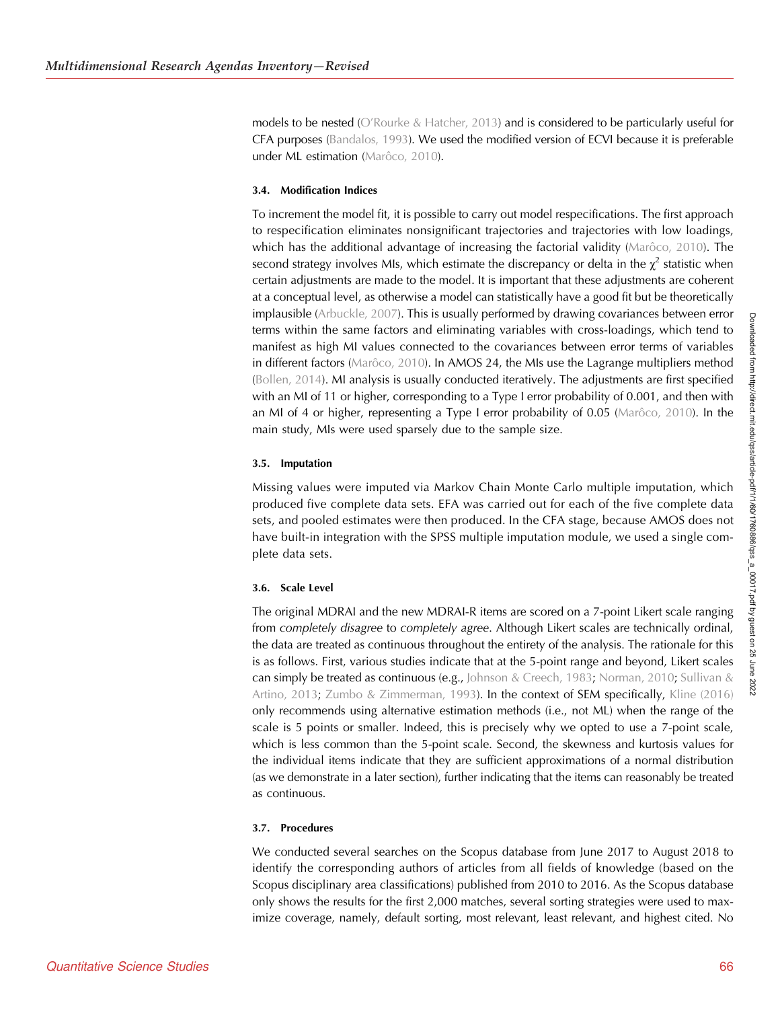models to be nested (O'[Rourke & Hatcher, 2013](#page-24-0)) and is considered to be particularly useful for CFA purposes ([Bandalos, 1993\)](#page-23-0). We used the modified version of ECVI because it is preferable under ML estimation ([Marôco, 2010\)](#page-24-0).

#### 3.4. Modification Indices

To increment the model fit, it is possible to carry out model respecifications. The first approach to respecification eliminates nonsignificant trajectories and trajectories with low loadings, which has the additional advantage of increasing the factorial validity ([Marôco, 2010](#page-24-0)). The second strategy involves MIs, which estimate the discrepancy or delta in the  $\chi^2$  statistic when certain adjustments are made to the model. It is important that these adjustments are coherent at a conceptual level, as otherwise a model can statistically have a good fit but be theoretically implausible ([Arbuckle, 2007](#page-23-0)). This is usually performed by drawing covariances between error terms within the same factors and eliminating variables with cross-loadings, which tend to manifest as high MI values connected to the covariances between error terms of variables in different factors ([Marôco, 2010](#page-24-0)). In AMOS 24, the MIs use the Lagrange multipliers method ([Bollen, 2014\)](#page-23-0). MI analysis is usually conducted iteratively. The adjustments are first specified with an MI of 11 or higher, corresponding to a Type I error probability of 0.001, and then with an MI of 4 or higher, representing a Type I error probability of 0.05 [\(Marôco, 2010\)](#page-24-0). In the main study, MIs were used sparsely due to the sample size.

#### 3.5. Imputation

Missing values were imputed via Markov Chain Monte Carlo multiple imputation, which produced five complete data sets. EFA was carried out for each of the five complete data sets, and pooled estimates were then produced. In the CFA stage, because AMOS does not have built-in integration with the SPSS multiple imputation module, we used a single complete data sets.

#### 3.6. Scale Level

The original MDRAI and the new MDRAI-R items are scored on a 7-point Likert scale ranging from completely disagree to completely agree. Although Likert scales are technically ordinal, the data are treated as continuous throughout the entirety of the analysis. The rationale for this is as follows. First, various studies indicate that at the 5-point range and beyond, Likert scales can simply be treated as continuous (e.g., [Johnson & Creech, 1983](#page-24-0); [Norman, 2010](#page-24-0); [Sullivan &](#page-25-0) [Artino, 2013;](#page-25-0) [Zumbo & Zimmerman, 1993](#page-25-0)). In the context of SEM specifically, [Kline \(2016\)](#page-24-0) only recommends using alternative estimation methods (i.e., not ML) when the range of the scale is 5 points or smaller. Indeed, this is precisely why we opted to use a 7-point scale, which is less common than the 5-point scale. Second, the skewness and kurtosis values for the individual items indicate that they are sufficient approximations of a normal distribution (as we demonstrate in a later section), further indicating that the items can reasonably be treated as continuous.

#### 3.7. Procedures

We conducted several searches on the Scopus database from June 2017 to August 2018 to identify the corresponding authors of articles from all fields of knowledge (based on the Scopus disciplinary area classifications) published from 2010 to 2016. As the Scopus database only shows the results for the first 2,000 matches, several sorting strategies were used to maximize coverage, namely, default sorting, most relevant, least relevant, and highest cited. No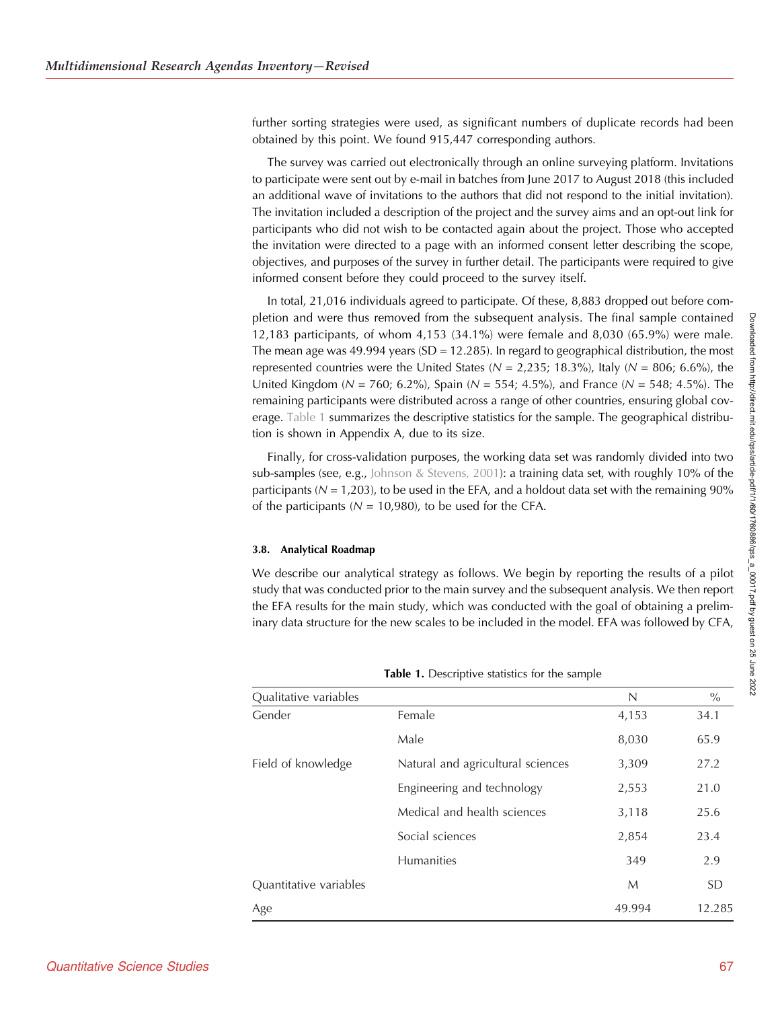further sorting strategies were used, as significant numbers of duplicate records had been obtained by this point. We found 915,447 corresponding authors.

The survey was carried out electronically through an online surveying platform. Invitations to participate were sent out by e-mail in batches from June 2017 to August 2018 (this included an additional wave of invitations to the authors that did not respond to the initial invitation). The invitation included a description of the project and the survey aims and an opt-out link for participants who did not wish to be contacted again about the project. Those who accepted the invitation were directed to a page with an informed consent letter describing the scope, objectives, and purposes of the survey in further detail. The participants were required to give informed consent before they could proceed to the survey itself.

In total, 21,016 individuals agreed to participate. Of these, 8,883 dropped out before completion and were thus removed from the subsequent analysis. The final sample contained 12,183 participants, of whom 4,153 (34.1%) were female and 8,030 (65.9%) were male. The mean age was 49.994 years  $(SD = 12.285)$ . In regard to geographical distribution, the most represented countries were the United States ( $N = 2,235$ ; 18.3%), Italy ( $N = 806$ ; 6.6%), the United Kingdom ( $N = 760$ ; 6.2%), Spain ( $N = 554$ ; 4.5%), and France ( $N = 548$ ; 4.5%). The remaining participants were distributed across a range of other countries, ensuring global coverage. Table 1 summarizes the descriptive statistics for the sample. The geographical distribution is shown in Appendix A, due to its size.

Finally, for cross-validation purposes, the working data set was randomly divided into two sub-samples (see, e.g., [Johnson & Stevens, 2001](#page-24-0)): a training data set, with roughly 10% of the participants ( $N = 1,203$ ), to be used in the EFA, and a holdout data set with the remaining 90% of the participants ( $N = 10,980$ ), to be used for the CFA.

#### 3.8. Analytical Roadmap

We describe our analytical strategy as follows. We begin by reporting the results of a pilot study that was conducted prior to the main survey and the subsequent analysis. We then report the EFA results for the main study, which was conducted with the goal of obtaining a preliminary data structure for the new scales to be included in the model. EFA was followed by CFA,

|                        | Table 1. Descriptive statistics for the sample |        |               |
|------------------------|------------------------------------------------|--------|---------------|
| Qualitative variables  |                                                | N      | $\frac{0}{0}$ |
| Gender                 | Female                                         | 4,153  | 34.1          |
|                        | Male                                           | 8,030  | 65.9          |
| Field of knowledge     | Natural and agricultural sciences              | 3,309  | 27.2          |
|                        | Engineering and technology                     | 2,553  | 21.0          |
|                        | Medical and health sciences                    | 3,118  | 25.6          |
|                        | Social sciences                                | 2,854  | 23.4          |
|                        | <b>Humanities</b>                              | 349    | 2.9           |
| Quantitative variables |                                                | M      | SD            |
| Age                    |                                                | 49.994 | 12.285        |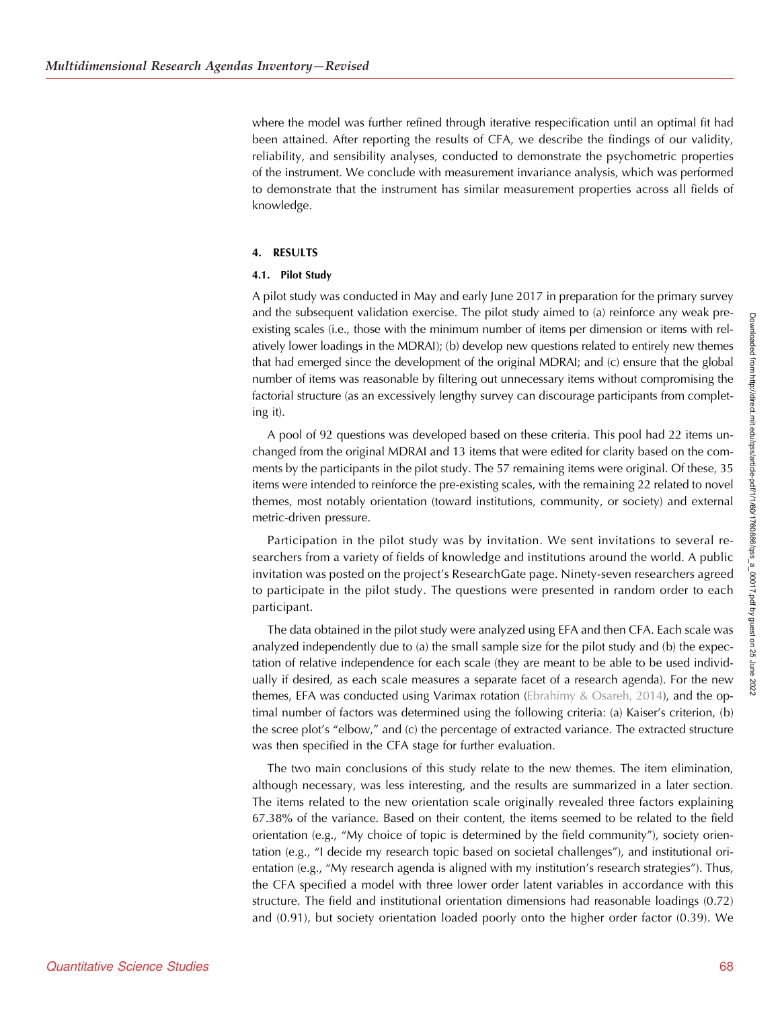where the model was further refined through iterative respecification until an optimal fit had been attained. After reporting the results of CFA, we describe the findings of our validity, reliability, and sensibility analyses, conducted to demonstrate the psychometric properties of the instrument. We conclude with measurement invariance analysis, which was performed to demonstrate that the instrument has similar measurement properties across all fields of knowledge.

# 4. RESULTS

# 4.1. Pilot Study

A pilot study was conducted in May and early June 2017 in preparation for the primary survey and the subsequent validation exercise. The pilot study aimed to (a) reinforce any weak preexisting scales (i.e., those with the minimum number of items per dimension or items with relatively lower loadings in the MDRAI); (b) develop new questions related to entirely new themes that had emerged since the development of the original MDRAI; and (c) ensure that the global number of items was reasonable by filtering out unnecessary items without compromising the factorial structure (as an excessively lengthy survey can discourage participants from completing it).

A pool of 92 questions was developed based on these criteria. This pool had 22 items unchanged from the original MDRAI and 13 items that were edited for clarity based on the comments by the participants in the pilot study. The 57 remaining items were original. Of these, 35 items were intended to reinforce the pre-existing scales, with the remaining 22 related to novel themes, most notably orientation (toward institutions, community, or society) and external metric-driven pressure.

Participation in the pilot study was by invitation. We sent invitations to several researchers from a variety of fields of knowledge and institutions around the world. A public invitation was posted on the project's ResearchGate page. Ninety-seven researchers agreed to participate in the pilot study. The questions were presented in random order to each participant.

The data obtained in the pilot study were analyzed using EFA and then CFA. Each scale was analyzed independently due to (a) the small sample size for the pilot study and (b) the expectation of relative independence for each scale (they are meant to be able to be used individually if desired, as each scale measures a separate facet of a research agenda). For the new themes, EFA was conducted using Varimax rotation ([Ebrahimy & Osareh, 2014\)](#page-24-0), and the optimal number of factors was determined using the following criteria: (a) Kaiser's criterion, (b) the scree plot's "elbow," and (c) the percentage of extracted variance. The extracted structure was then specified in the CFA stage for further evaluation.

The two main conclusions of this study relate to the new themes. The item elimination, although necessary, was less interesting, and the results are summarized in a later section. The items related to the new orientation scale originally revealed three factors explaining 67.38% of the variance. Based on their content, the items seemed to be related to the field orientation (e.g., "My choice of topic is determined by the field community"), society orientation (e.g., "I decide my research topic based on societal challenges"), and institutional orientation (e.g., "My research agenda is aligned with my institution's research strategies"). Thus, the CFA specified a model with three lower order latent variables in accordance with this structure. The field and institutional orientation dimensions had reasonable loadings (0.72) and (0.91), but society orientation loaded poorly onto the higher order factor (0.39). We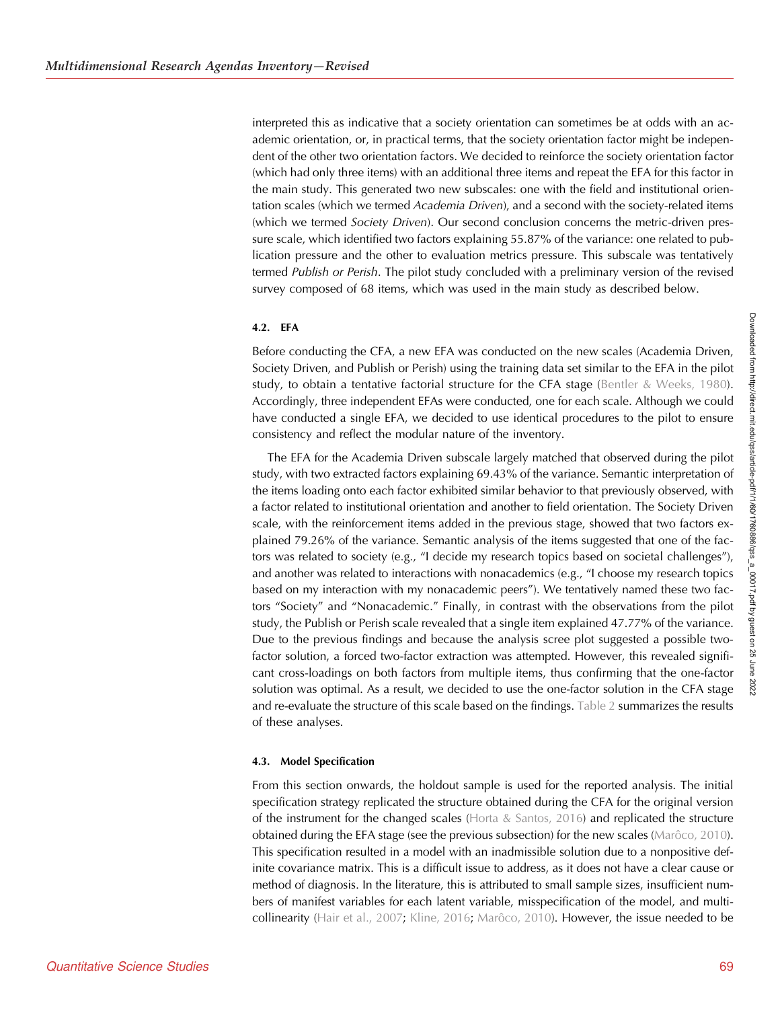interpreted this as indicative that a society orientation can sometimes be at odds with an academic orientation, or, in practical terms, that the society orientation factor might be independent of the other two orientation factors. We decided to reinforce the society orientation factor (which had only three items) with an additional three items and repeat the EFA for this factor in the main study. This generated two new subscales: one with the field and institutional orientation scales (which we termed Academia Driven), and a second with the society-related items (which we termed Society Driven). Our second conclusion concerns the metric-driven pressure scale, which identified two factors explaining 55.87% of the variance: one related to publication pressure and the other to evaluation metrics pressure. This subscale was tentatively termed Publish or Perish. The pilot study concluded with a preliminary version of the revised survey composed of 68 items, which was used in the main study as described below.

### 4.2. EFA

Before conducting the CFA, a new EFA was conducted on the new scales (Academia Driven, Society Driven, and Publish or Perish) using the training data set similar to the EFA in the pilot study, to obtain a tentative factorial structure for the CFA stage ([Bentler & Weeks, 1980\)](#page-23-0). Accordingly, three independent EFAs were conducted, one for each scale. Although we could have conducted a single EFA, we decided to use identical procedures to the pilot to ensure consistency and reflect the modular nature of the inventory.

The EFA for the Academia Driven subscale largely matched that observed during the pilot study, with two extracted factors explaining 69.43% of the variance. Semantic interpretation of the items loading onto each factor exhibited similar behavior to that previously observed, with a factor related to institutional orientation and another to field orientation. The Society Driven scale, with the reinforcement items added in the previous stage, showed that two factors explained 79.26% of the variance. Semantic analysis of the items suggested that one of the factors was related to society (e.g., "I decide my research topics based on societal challenges"), and another was related to interactions with nonacademics (e.g., "I choose my research topics based on my interaction with my nonacademic peers"). We tentatively named these two factors "Society" and "Nonacademic." Finally, in contrast with the observations from the pilot study, the Publish or Perish scale revealed that a single item explained 47.77% of the variance. Due to the previous findings and because the analysis scree plot suggested a possible twofactor solution, a forced two-factor extraction was attempted. However, this revealed significant cross-loadings on both factors from multiple items, thus confirming that the one-factor solution was optimal. As a result, we decided to use the one-factor solution in the CFA stage and re-evaluate the structure of this scale based on the findings. [Table 2](#page-10-0) summarizes the results of these analyses.

#### 4.3. Model Specification

From this section onwards, the holdout sample is used for the reported analysis. The initial specification strategy replicated the structure obtained during the CFA for the original version of the instrument for the changed scales ([Horta & Santos, 2016\)](#page-24-0) and replicated the structure obtained during the EFA stage (see the previous subsection) for the new scales ([Marôco, 2010\)](#page-24-0). This specification resulted in a model with an inadmissible solution due to a nonpositive definite covariance matrix. This is a difficult issue to address, as it does not have a clear cause or method of diagnosis. In the literature, this is attributed to small sample sizes, insufficient numbers of manifest variables for each latent variable, misspecification of the model, and multi-collinearity ([Hair et al., 2007](#page-24-0); [Kline, 2016](#page-24-0); [Marôco, 2010\)](#page-24-0). However, the issue needed to be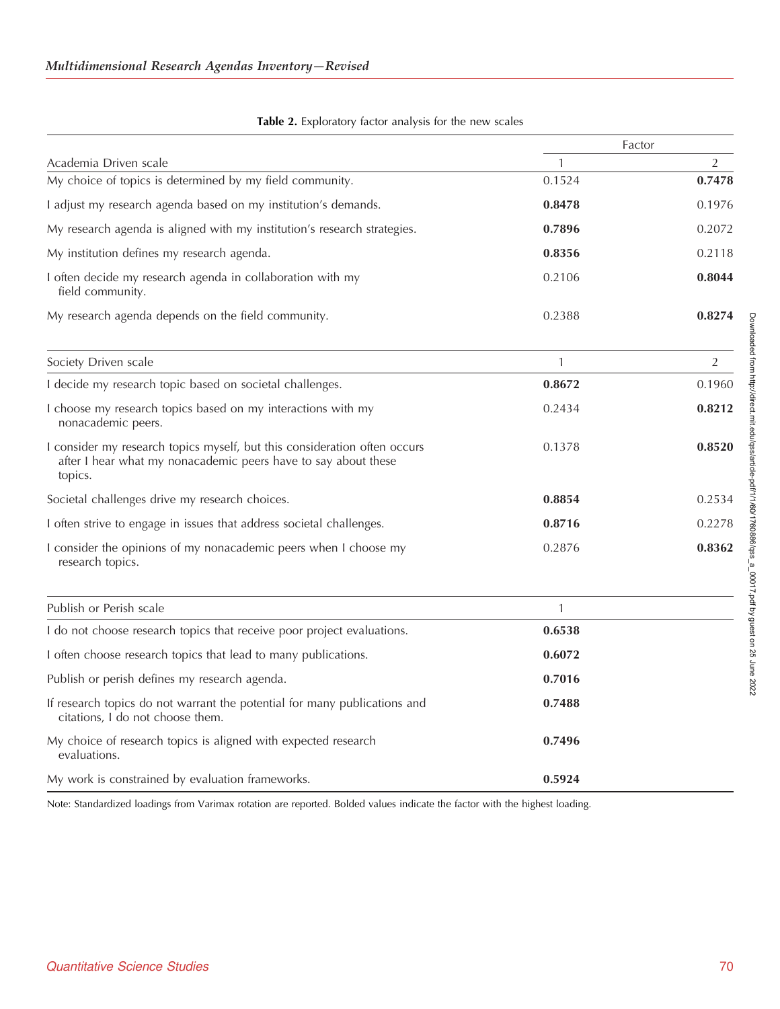<span id="page-10-0"></span>

|                                                                                                                                                        | Factor       |                |  |  |
|--------------------------------------------------------------------------------------------------------------------------------------------------------|--------------|----------------|--|--|
| Academia Driven scale                                                                                                                                  | 1            | $\overline{2}$ |  |  |
| My choice of topics is determined by my field community.                                                                                               | 0.1524       | 0.7478         |  |  |
| I adjust my research agenda based on my institution's demands.                                                                                         | 0.8478       | 0.1976         |  |  |
| My research agenda is aligned with my institution's research strategies.                                                                               | 0.7896       | 0.2072         |  |  |
| My institution defines my research agenda.                                                                                                             | 0.8356       | 0.2118         |  |  |
| I often decide my research agenda in collaboration with my<br>field community.                                                                         | 0.2106       | 0.8044         |  |  |
| My research agenda depends on the field community.                                                                                                     | 0.2388       | 0.8274         |  |  |
| Society Driven scale                                                                                                                                   | $\mathbf{1}$ | $\overline{2}$ |  |  |
| I decide my research topic based on societal challenges.                                                                                               | 0.8672       | 0.1960         |  |  |
| I choose my research topics based on my interactions with my<br>nonacademic peers.                                                                     | 0.2434       | 0.8212         |  |  |
| I consider my research topics myself, but this consideration often occurs<br>after I hear what my nonacademic peers have to say about these<br>topics. | 0.1378       | 0.8520         |  |  |
| Societal challenges drive my research choices.                                                                                                         | 0.8854       | 0.2534         |  |  |
| I often strive to engage in issues that address societal challenges.                                                                                   | 0.8716       | 0.2278         |  |  |
| I consider the opinions of my nonacademic peers when I choose my<br>research topics.                                                                   | 0.2876       | 0.8362         |  |  |
| Publish or Perish scale                                                                                                                                | $\mathbf{1}$ |                |  |  |
| I do not choose research topics that receive poor project evaluations.                                                                                 | 0.6538       |                |  |  |
| I often choose research topics that lead to many publications.                                                                                         | 0.6072       |                |  |  |
| Publish or perish defines my research agenda.                                                                                                          | 0.7016       |                |  |  |
| If research topics do not warrant the potential for many publications and<br>citations, I do not choose them.                                          | 0.7488       |                |  |  |
| My choice of research topics is aligned with expected research<br>evaluations.                                                                         | 0.7496       |                |  |  |
| My work is constrained by evaluation frameworks.                                                                                                       | 0.5924       |                |  |  |

# Table 2. Exploratory factor analysis for the new scales

Note: Standardized loadings from Varimax rotation are reported. Bolded values indicate the factor with the highest loading.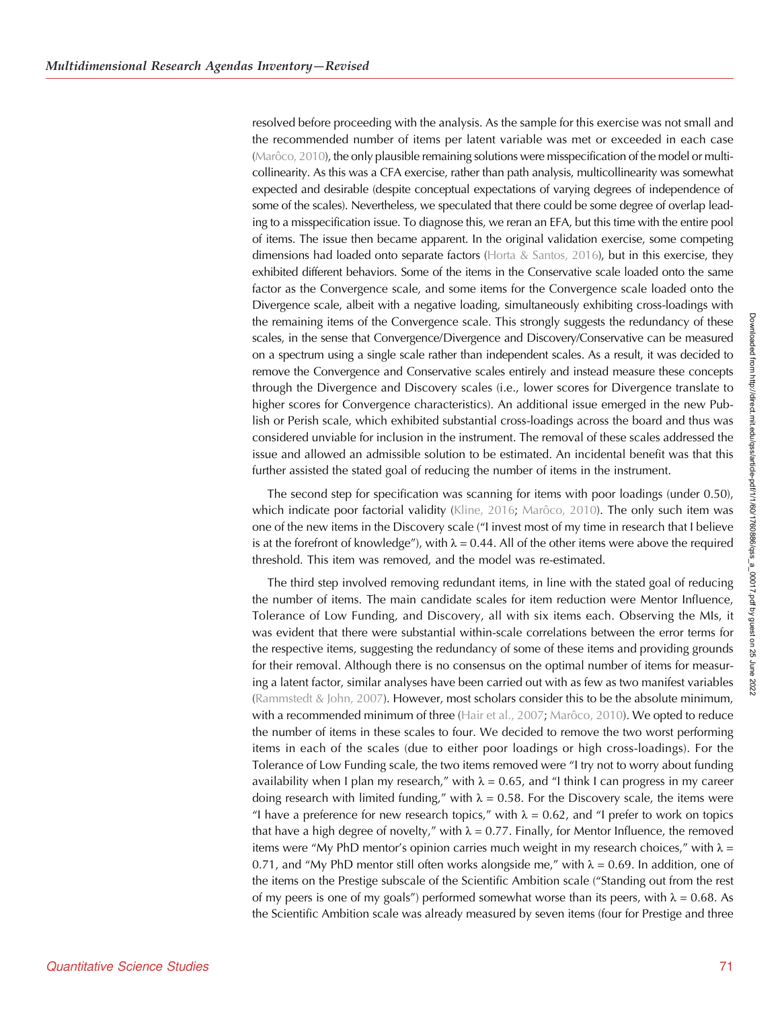resolved before proceeding with the analysis. As the sample for this exercise was not small and the recommended number of items per latent variable was met or exceeded in each case [\(Marôco, 2010](#page-24-0)), the only plausible remaining solutions were misspecification of the model or multicollinearity. As this was a CFA exercise, rather than path analysis, multicollinearity was somewhat expected and desirable (despite conceptual expectations of varying degrees of independence of some of the scales). Nevertheless, we speculated that there could be some degree of overlap leading to a misspecification issue. To diagnose this, we reran an EFA, but this time with the entire pool of items. The issue then became apparent. In the original validation exercise, some competing dimensions had loaded onto separate factors ([Horta & Santos, 2016\)](#page-24-0), but in this exercise, they exhibited different behaviors. Some of the items in the Conservative scale loaded onto the same factor as the Convergence scale, and some items for the Convergence scale loaded onto the Divergence scale, albeit with a negative loading, simultaneously exhibiting cross-loadings with the remaining items of the Convergence scale. This strongly suggests the redundancy of these scales, in the sense that Convergence/Divergence and Discovery/Conservative can be measured on a spectrum using a single scale rather than independent scales. As a result, it was decided to remove the Convergence and Conservative scales entirely and instead measure these concepts through the Divergence and Discovery scales (i.e., lower scores for Divergence translate to higher scores for Convergence characteristics). An additional issue emerged in the new Publish or Perish scale, which exhibited substantial cross-loadings across the board and thus was considered unviable for inclusion in the instrument. The removal of these scales addressed the issue and allowed an admissible solution to be estimated. An incidental benefit was that this further assisted the stated goal of reducing the number of items in the instrument.

The second step for specification was scanning for items with poor loadings (under 0.50), which indicate poor factorial validity [\(Kline, 2016](#page-24-0); [Marôco, 2010](#page-24-0)). The only such item was one of the new items in the Discovery scale ("I invest most of my time in research that I believe is at the forefront of knowledge"), with  $\lambda = 0.44$ . All of the other items were above the required threshold. This item was removed, and the model was re-estimated.

The third step involved removing redundant items, in line with the stated goal of reducing the number of items. The main candidate scales for item reduction were Mentor Influence, Tolerance of Low Funding, and Discovery, all with six items each. Observing the MIs, it was evident that there were substantial within-scale correlations between the error terms for the respective items, suggesting the redundancy of some of these items and providing grounds for their removal. Although there is no consensus on the optimal number of items for measuring a latent factor, similar analyses have been carried out with as few as two manifest variables ([Rammstedt & John, 2007](#page-25-0)). However, most scholars consider this to be the absolute minimum, with a recommended minimum of three [\(Hair et al., 2007](#page-24-0); [Marôco, 2010](#page-24-0)). We opted to reduce the number of items in these scales to four. We decided to remove the two worst performing items in each of the scales (due to either poor loadings or high cross-loadings). For the Tolerance of Low Funding scale, the two items removed were "I try not to worry about funding availability when I plan my research," with  $\lambda = 0.65$ , and "I think I can progress in my career doing research with limited funding," with  $\lambda = 0.58$ . For the Discovery scale, the items were "I have a preference for new research topics," with  $\lambda = 0.62$ , and "I prefer to work on topics that have a high degree of novelty," with  $\lambda = 0.77$ . Finally, for Mentor Influence, the removed items were "My PhD mentor's opinion carries much weight in my research choices," with  $\lambda =$ 0.71, and "My PhD mentor still often works alongside me," with  $\lambda = 0.69$ . In addition, one of the items on the Prestige subscale of the Scientific Ambition scale ("Standing out from the rest of my peers is one of my goals") performed somewhat worse than its peers, with  $\lambda = 0.68$ . As the Scientific Ambition scale was already measured by seven items (four for Prestige and three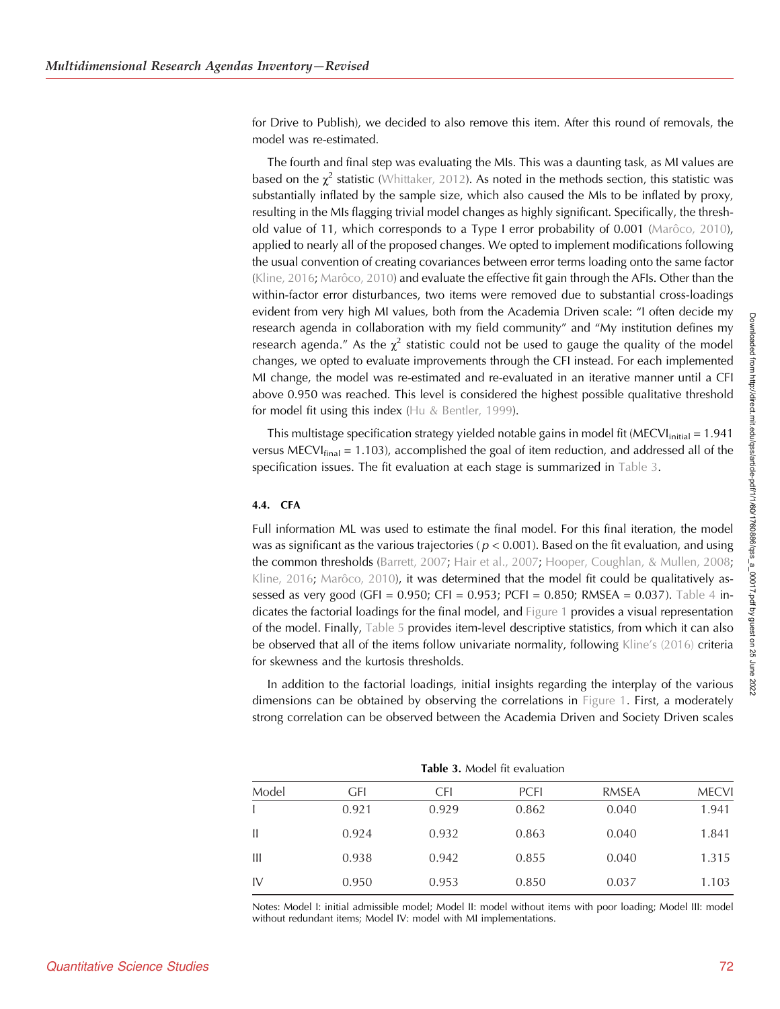for Drive to Publish), we decided to also remove this item. After this round of removals, the model was re-estimated.

The fourth and final step was evaluating the MIs. This was a daunting task, as MI values are based on the  $\chi^2$  statistic ([Whittaker, 2012\)](#page-25-0). As noted in the methods section, this statistic was substantially inflated by the sample size, which also caused the MIs to be inflated by proxy, resulting in the MIs flagging trivial model changes as highly significant. Specifically, the threshold value of 11, which corresponds to a Type I error probability of 0.001 ([Marôco, 2010\)](#page-24-0), applied to nearly all of the proposed changes. We opted to implement modifications following the usual convention of creating covariances between error terms loading onto the same factor ([Kline, 2016](#page-24-0); [Marôco, 2010\)](#page-24-0) and evaluate the effective fit gain through the AFIs. Other than the within-factor error disturbances, two items were removed due to substantial cross-loadings evident from very high MI values, both from the Academia Driven scale: "I often decide my research agenda in collaboration with my field community" and "My institution defines my research agenda." As the  $\chi^2$  statistic could not be used to gauge the quality of the model changes, we opted to evaluate improvements through the CFI instead. For each implemented MI change, the model was re-estimated and re-evaluated in an iterative manner until a CFI above 0.950 was reached. This level is considered the highest possible qualitative threshold for model fit using this index ([Hu & Bentler, 1999](#page-24-0)).

This multistage specification strategy yielded notable gains in model fit (MECVI<sub>initial</sub> = 1.941 versus MECVI $_{final}$  = 1.103), accomplished the goal of item reduction, and addressed all of the specification issues. The fit evaluation at each stage is summarized in Table 3.

## 4.4. CFA

Full information ML was used to estimate the final model. For this final iteration, the model was as significant as the various trajectories ( $p < 0.001$ ). Based on the fit evaluation, and using the common thresholds [\(Barrett, 2007](#page-23-0); [Hair et al., 2007;](#page-24-0) [Hooper, Coughlan, & Mullen, 2008](#page-24-0); [Kline, 2016;](#page-24-0) [Marôco, 2010](#page-24-0)), it was determined that the model fit could be qualitatively assessed as very good (GFI =  $0.950$ ; CFI =  $0.953$ ; PCFI =  $0.850$ ; RMSEA =  $0.037$ ). [Table 4](#page-13-0) indicates the factorial loadings for the final model, and [Figure 1](#page-15-0) provides a visual representation of the model. Finally, [Table 5](#page-16-0) provides item-level descriptive statistics, from which it can also be observed that all of the items follow univariate normality, following Kline'[s \(2016\)](#page-24-0) criteria for skewness and the kurtosis thresholds.

In addition to the factorial loadings, initial insights regarding the interplay of the various dimensions can be obtained by observing the correlations in [Figure 1.](#page-15-0) First, a moderately strong correlation can be observed between the Academia Driven and Society Driven scales

| <b>Table 3.</b> Model fit evaluation |            |       |             |              |              |  |  |  |
|--------------------------------------|------------|-------|-------------|--------------|--------------|--|--|--|
| Model                                | <b>GFI</b> | CFI   | <b>PCFI</b> | <b>RMSEA</b> | <b>MECVI</b> |  |  |  |
|                                      | 0.921      | 0.929 | 0.862       | 0.040        | 1.941        |  |  |  |
| $\mathbf{I}$                         | 0.924      | 0.932 | 0.863       | 0.040        | 1.841        |  |  |  |
| $\mathbf{III}$                       | 0.938      | 0.942 | 0.855       | 0.040        | 1.315        |  |  |  |
| IV                                   | 0.950      | 0.953 | 0.850       | 0.037        | 1.103        |  |  |  |

Notes: Model I: initial admissible model; Model II: model without items with poor loading; Model III: model without redundant items; Model IV: model with MI implementations.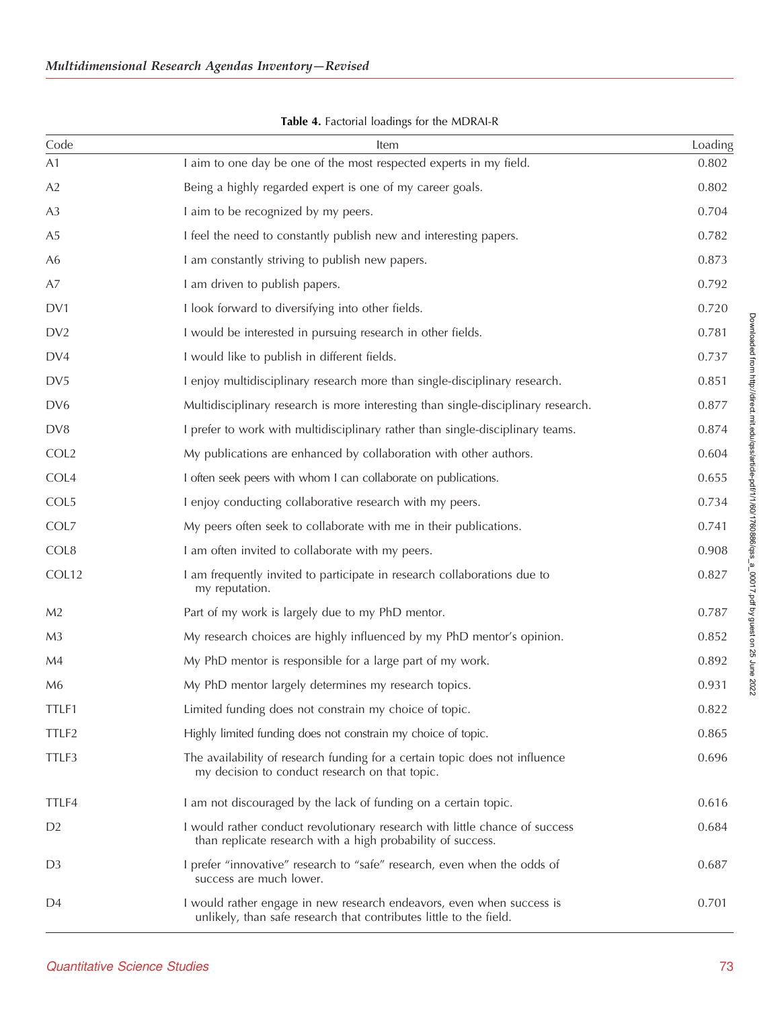<span id="page-13-0"></span>

| Code              | Item                                                                                                                                        | Loading |
|-------------------|---------------------------------------------------------------------------------------------------------------------------------------------|---------|
| A1                | I aim to one day be one of the most respected experts in my field.                                                                          | 0.802   |
| A2                | Being a highly regarded expert is one of my career goals.                                                                                   | 0.802   |
| A3                | I aim to be recognized by my peers.                                                                                                         | 0.704   |
| A5                | I feel the need to constantly publish new and interesting papers.                                                                           | 0.782   |
| Α6                | I am constantly striving to publish new papers.                                                                                             | 0.873   |
| A7                | I am driven to publish papers.                                                                                                              | 0.792   |
| DV <sub>1</sub>   | I look forward to diversifying into other fields.                                                                                           | 0.720   |
| DV <sub>2</sub>   | I would be interested in pursuing research in other fields.                                                                                 | 0.781   |
| DV4               | I would like to publish in different fields.                                                                                                | 0.737   |
| DV <sub>5</sub>   | I enjoy multidisciplinary research more than single-disciplinary research.                                                                  | 0.851   |
| DV <sub>6</sub>   | Multidisciplinary research is more interesting than single-disciplinary research.                                                           | 0.877   |
| DV <sub>8</sub>   | I prefer to work with multidisciplinary rather than single-disciplinary teams.                                                              | 0.874   |
| COL <sub>2</sub>  | My publications are enhanced by collaboration with other authors.                                                                           | 0.604   |
| COL4              | I often seek peers with whom I can collaborate on publications.                                                                             | 0.655   |
| COL5              | I enjoy conducting collaborative research with my peers.                                                                                    | 0.734   |
| COL7              | My peers often seek to collaborate with me in their publications.                                                                           | 0.741   |
| COL <sub>8</sub>  | I am often invited to collaborate with my peers.                                                                                            | 0.908   |
| COL12             | I am frequently invited to participate in research collaborations due to<br>my reputation.                                                  | 0.827   |
| M <sub>2</sub>    | Part of my work is largely due to my PhD mentor.                                                                                            | 0.787   |
| M3                | My research choices are highly influenced by my PhD mentor's opinion.                                                                       | 0.852   |
| M4                | My PhD mentor is responsible for a large part of my work.                                                                                   | 0.892   |
| M <sub>6</sub>    | My PhD mentor largely determines my research topics.                                                                                        | 0.931   |
| TTLF1             | Limited funding does not constrain my choice of topic.                                                                                      | 0.822   |
| TTLF <sub>2</sub> | Highly limited funding does not constrain my choice of topic.                                                                               | 0.865   |
| TTLF3             | The availability of research funding for a certain topic does not influence<br>my decision to conduct research on that topic.               | 0.696   |
| TTLF4             | I am not discouraged by the lack of funding on a certain topic.                                                                             | 0.616   |
| D <sub>2</sub>    | I would rather conduct revolutionary research with little chance of success<br>than replicate research with a high probability of success.  | 0.684   |
| D <sub>3</sub>    | I prefer "innovative" research to "safe" research, even when the odds of<br>success are much lower.                                         | 0.687   |
| D <sub>4</sub>    | I would rather engage in new research endeavors, even when success is<br>unlikely, than safe research that contributes little to the field. | 0.701   |

| Table 4. Factorial loadings for the MDRAI-R |  |
|---------------------------------------------|--|
|---------------------------------------------|--|

Downloaded from http://direct.mit.edu/qss/article-pdf/1/1/60/1760886/qss\_a\_00017.pdf by guest on 25 June 2022 Downloaded from http://direct.mit.edu/qss/article-pdf/1/1/60/1760886/qss\_a\_00017.pdf by guest on 25 June 2022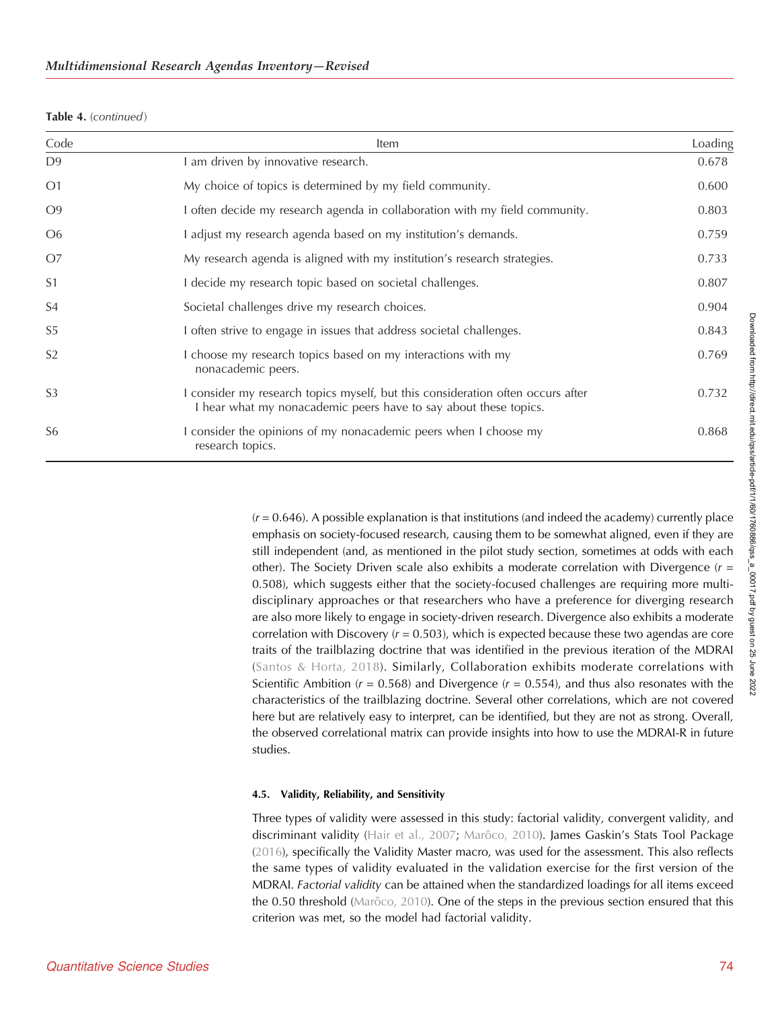|  | Table 4. (continued) |
|--|----------------------|
|--|----------------------|

| Code           | Item                                                                                                                                                | Loading |
|----------------|-----------------------------------------------------------------------------------------------------------------------------------------------------|---------|
| D <sub>9</sub> | I am driven by innovative research.                                                                                                                 | 0.678   |
| O <sub>1</sub> | My choice of topics is determined by my field community.                                                                                            | 0.600   |
| O <sub>9</sub> | I often decide my research agenda in collaboration with my field community.                                                                         | 0.803   |
| O <sub>6</sub> | I adjust my research agenda based on my institution's demands.                                                                                      | 0.759   |
| O <sub>7</sub> | My research agenda is aligned with my institution's research strategies.                                                                            | 0.733   |
| S <sub>1</sub> | I decide my research topic based on societal challenges.                                                                                            | 0.807   |
| S4             | Societal challenges drive my research choices.                                                                                                      | 0.904   |
| S <sub>5</sub> | I often strive to engage in issues that address societal challenges.                                                                                | 0.843   |
| S <sub>2</sub> | I choose my research topics based on my interactions with my<br>nonacademic peers.                                                                  | 0.769   |
| S <sub>3</sub> | I consider my research topics myself, but this consideration often occurs after<br>I hear what my nonacademic peers have to say about these topics. | 0.732   |
| S <sub>6</sub> | I consider the opinions of my nonacademic peers when I choose my<br>research topics.                                                                | 0.868   |

 $(r = 0.646)$ . A possible explanation is that institutions (and indeed the academy) currently place emphasis on society-focused research, causing them to be somewhat aligned, even if they are still independent (and, as mentioned in the pilot study section, sometimes at odds with each other). The Society Driven scale also exhibits a moderate correlation with Divergence  $(r =$ 0.508), which suggests either that the society-focused challenges are requiring more multidisciplinary approaches or that researchers who have a preference for diverging research are also more likely to engage in society-driven research. Divergence also exhibits a moderate correlation with Discovery  $(r = 0.503)$ , which is expected because these two agendas are core traits of the trailblazing doctrine that was identified in the previous iteration of the MDRAI ([Santos & Horta, 2018](#page-25-0)). Similarly, Collaboration exhibits moderate correlations with Scientific Ambition ( $r = 0.568$ ) and Divergence ( $r = 0.554$ ), and thus also resonates with the characteristics of the trailblazing doctrine. Several other correlations, which are not covered here but are relatively easy to interpret, can be identified, but they are not as strong. Overall, the observed correlational matrix can provide insights into how to use the MDRAI-R in future studies.

# 4.5. Validity, Reliability, and Sensitivity

Three types of validity were assessed in this study: factorial validity, convergent validity, and discriminant validity ([Hair et al., 2007](#page-24-0); [Marôco, 2010](#page-24-0)). James Gaskin's Stats Tool Package ([2016](#page-24-0)), specifically the Validity Master macro, was used for the assessment. This also reflects the same types of validity evaluated in the validation exercise for the first version of the MDRAI. Factorial validity can be attained when the standardized loadings for all items exceed the 0.50 threshold ([Marôco, 2010\)](#page-24-0). One of the steps in the previous section ensured that this criterion was met, so the model had factorial validity.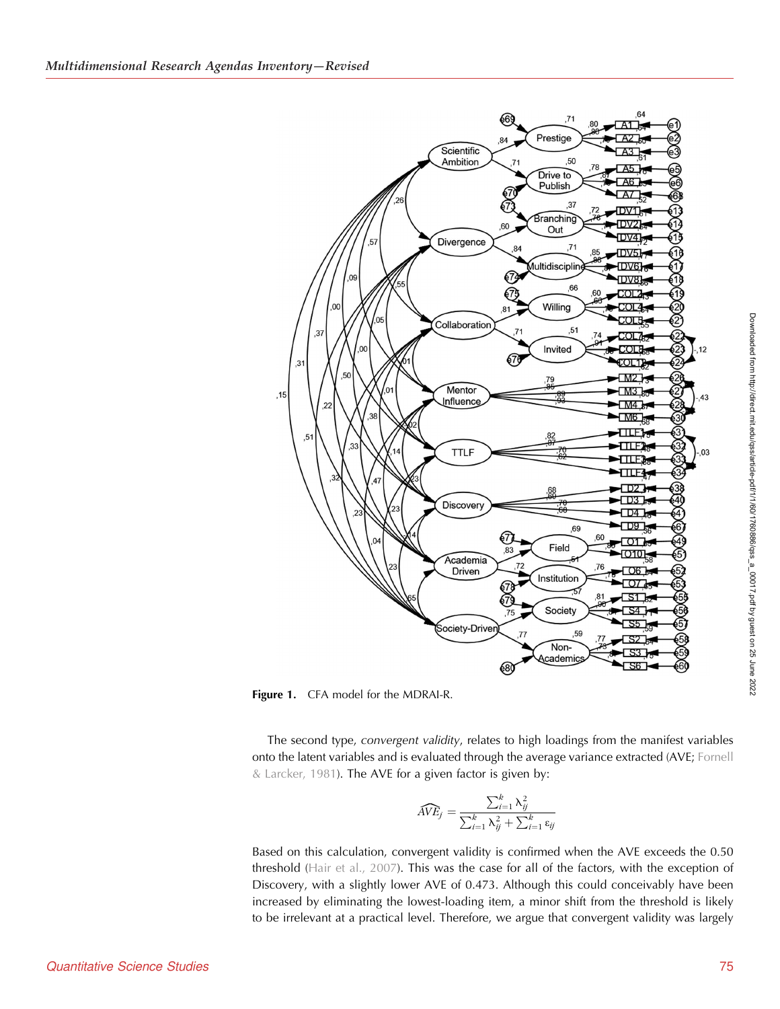<span id="page-15-0"></span>

Figure 1. CFA model for the MDRAI-R.

The second type, convergent validity, relates to high loadings from the manifest variables onto the latent variables and is evaluated through the average variance extracted (AVE; [Fornell](#page-24-0) [& Larcker, 1981](#page-24-0)). The AVE for a given factor is given by:

$$
\widehat{AVE}_{j} = \frac{\sum_{i=1}^{k} \lambda_{ij}^{2}}{\sum_{i=1}^{k} \lambda_{ij}^{2} + \sum_{i=1}^{k} \epsilon_{ij}}
$$

Based on this calculation, convergent validity is confirmed when the AVE exceeds the 0.50 threshold [\(Hair et al., 2007\)](#page-24-0). This was the case for all of the factors, with the exception of Discovery, with a slightly lower AVE of 0.473. Although this could conceivably have been increased by eliminating the lowest-loading item, a minor shift from the threshold is likely to be irrelevant at a practical level. Therefore, we argue that convergent validity was largely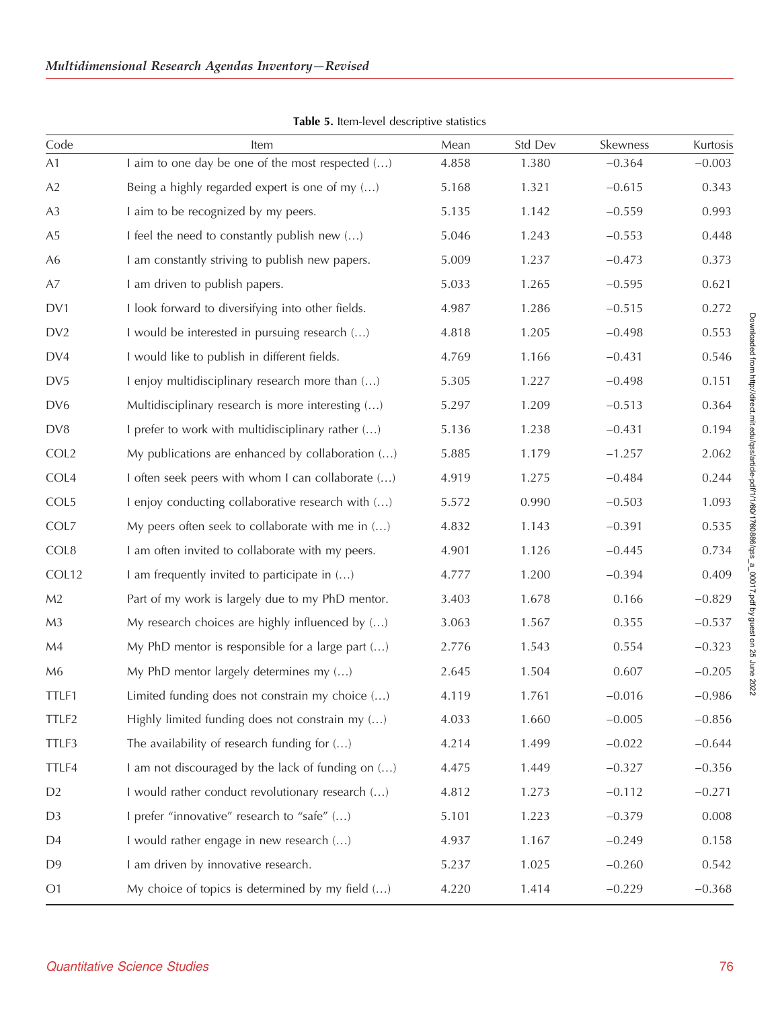<span id="page-16-0"></span>

| Code             | Item                                               | Mean  | Std Dev | Skewness | Kurtosis |
|------------------|----------------------------------------------------|-------|---------|----------|----------|
| A <sub>1</sub>   | I aim to one day be one of the most respected ()   | 4.858 | 1.380   | $-0.364$ | $-0.003$ |
| A2               | Being a highly regarded expert is one of my $()$   | 5.168 | 1.321   | $-0.615$ | 0.343    |
| A3               | I aim to be recognized by my peers.                | 5.135 | 1.142   | $-0.559$ | 0.993    |
| A <sub>5</sub>   | I feel the need to constantly publish new ()       | 5.046 | 1.243   | $-0.553$ | 0.448    |
| A6               | I am constantly striving to publish new papers.    | 5.009 | 1.237   | $-0.473$ | 0.373    |
| A7               | I am driven to publish papers.                     | 5.033 | 1.265   | $-0.595$ | 0.621    |
| DV1              | I look forward to diversifying into other fields.  | 4.987 | 1.286   | $-0.515$ | 0.272    |
| DV <sub>2</sub>  | I would be interested in pursuing research ()      | 4.818 | 1.205   | $-0.498$ | 0.553    |
| DV4              | I would like to publish in different fields.       | 4.769 | 1.166   | $-0.431$ | 0.546    |
| DV <sub>5</sub>  | I enjoy multidisciplinary research more than ()    | 5.305 | 1.227   | $-0.498$ | 0.151    |
| DV <sub>6</sub>  | Multidisciplinary research is more interesting ()  | 5.297 | 1.209   | $-0.513$ | 0.364    |
| DV8              | I prefer to work with multidisciplinary rather ()  | 5.136 | 1.238   | $-0.431$ | 0.194    |
| COL <sub>2</sub> | My publications are enhanced by collaboration ()   | 5.885 | 1.179   | $-1.257$ | 2.062    |
| COL4             | I often seek peers with whom I can collaborate ()  | 4.919 | 1.275   | $-0.484$ | 0.244    |
| COL5             | I enjoy conducting collaborative research with ()  | 5.572 | 0.990   | $-0.503$ | 1.093    |
| COL7             | My peers often seek to collaborate with me in ()   | 4.832 | 1.143   | $-0.391$ | 0.535    |
| COL <sub>8</sub> | I am often invited to collaborate with my peers.   | 4.901 | 1.126   | $-0.445$ | 0.734    |
| COL12            | I am frequently invited to participate in ()       | 4.777 | 1.200   | $-0.394$ | 0.409    |
| M <sub>2</sub>   | Part of my work is largely due to my PhD mentor.   | 3.403 | 1.678   | 0.166    | $-0.829$ |
| M <sub>3</sub>   | My research choices are highly influenced by ()    | 3.063 | 1.567   | 0.355    | $-0.537$ |
| M4               | My PhD mentor is responsible for a large part $()$ | 2.776 | 1.543   | 0.554    | $-0.323$ |
| M <sub>6</sub>   | My PhD mentor largely determines my ()             | 2.645 | 1.504   | 0.607    | $-0.205$ |
| TTLF1            | Limited funding does not constrain my choice ()    | 4.119 | 1.761   | $-0.016$ | $-0.986$ |
| TTLF2            | Highly limited funding does not constrain my ()    | 4.033 | 1.660   | $-0.005$ | $-0.856$ |
| TTLF3            | The availability of research funding for ()        | 4.214 | 1.499   | $-0.022$ | $-0.644$ |
| TTLF4            | I am not discouraged by the lack of funding on ()  | 4.475 | 1.449   | $-0.327$ | $-0.356$ |
| D <sub>2</sub>   | I would rather conduct revolutionary research ()   | 4.812 | 1.273   | $-0.112$ | $-0.271$ |
| D <sub>3</sub>   | I prefer "innovative" research to "safe" ()        | 5.101 | 1.223   | $-0.379$ | 0.008    |
| D <sub>4</sub>   | I would rather engage in new research ()           | 4.937 | 1.167   | $-0.249$ | 0.158    |
| D <sub>9</sub>   | I am driven by innovative research.                | 5.237 | 1.025   | $-0.260$ | 0.542    |
| O1               | My choice of topics is determined by my field ()   | 4.220 | 1.414   | $-0.229$ | $-0.368$ |

Table 5. Item-level descriptive statistics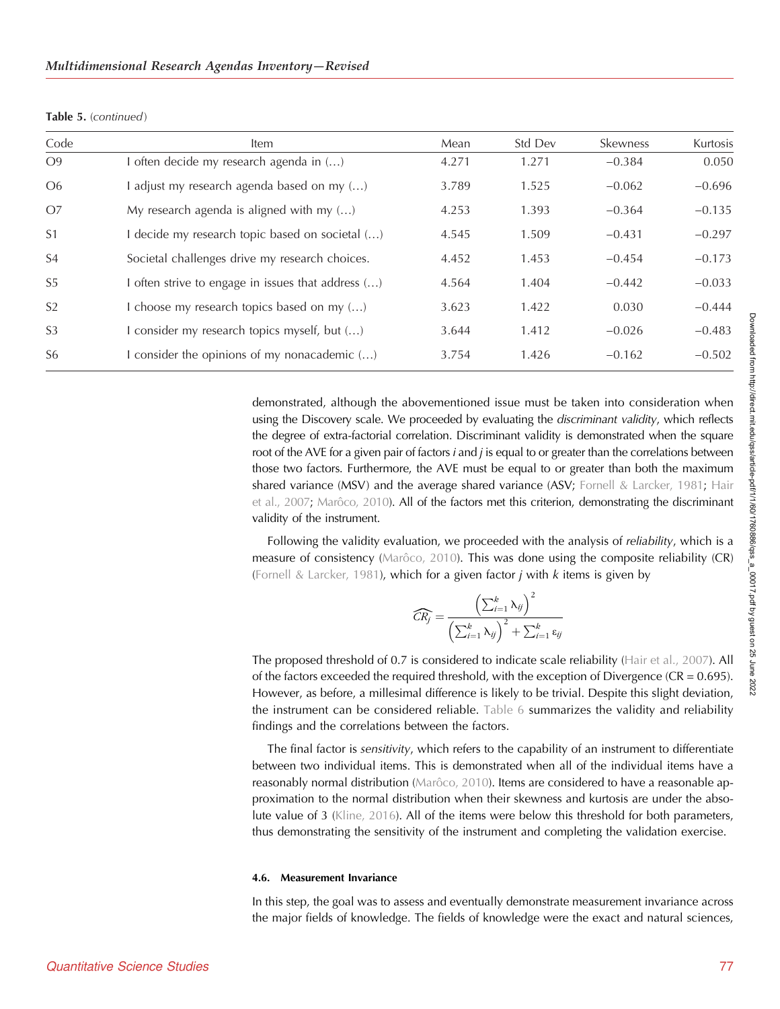| Code           | Item                                             | Mean  | Std Dev | Skewness | Kurtosis |
|----------------|--------------------------------------------------|-------|---------|----------|----------|
| O <sub>9</sub> | I often decide my research agenda in ()          | 4.271 | 1.271   | $-0.384$ | 0.050    |
| O6             | adjust my research agenda based on my ()         | 3.789 | 1.525   | $-0.062$ | $-0.696$ |
| O <sub>7</sub> | My research agenda is aligned with my $()$       | 4.253 | 1.393   | $-0.364$ | $-0.135$ |
| S <sub>1</sub> | I decide my research topic based on societal ()  | 4.545 | 1.509   | $-0.431$ | $-0.297$ |
| S <sub>4</sub> | Societal challenges drive my research choices.   | 4.452 | 1.453   | $-0.454$ | $-0.173$ |
| S <sub>5</sub> | often strive to engage in issues that address () | 4.564 | 1.404   | $-0.442$ | $-0.033$ |
| S <sub>2</sub> | I choose my research topics based on my ()       | 3.623 | 1.422   | 0.030    | $-0.444$ |
| S <sub>3</sub> | I consider my research topics myself, but ()     | 3.644 | 1.412   | $-0.026$ | $-0.483$ |
| S <sub>6</sub> | consider the opinions of my nonacademic ()       | 3.754 | 1.426   | $-0.162$ | $-0.502$ |

#### Table 5. (continued)

demonstrated, although the abovementioned issue must be taken into consideration when using the Discovery scale. We proceeded by evaluating the discriminant validity, which reflects the degree of extra-factorial correlation. Discriminant validity is demonstrated when the square root of the AVE for a given pair of factors  $i$  and  $j$  is equal to or greater than the correlations between those two factors. Furthermore, the AVE must be equal to or greater than both the maximum shared variance (MSV) and the average shared variance (ASV; [Fornell & Larcker, 1981;](#page-24-0) [Hair](#page-24-0) [et al., 2007](#page-24-0); [Marôco, 2010](#page-24-0)). All of the factors met this criterion, demonstrating the discriminant validity of the instrument.

Following the validity evaluation, we proceeded with the analysis of *reliability*, which is a measure of consistency [\(Marôco, 2010\)](#page-24-0). This was done using the composite reliability (CR) ([Fornell & Larcker, 1981](#page-24-0)), which for a given factor  $j$  with  $k$  items is given by

$$
\widehat{CR_j} = \frac{\left(\sum_{i=1}^k \lambda_{ij}\right)^2}{\left(\sum_{i=1}^k \lambda_{ij}\right)^2 + \sum_{i=1}^k \varepsilon_{ij}}
$$

The proposed threshold of 0.7 is considered to indicate scale reliability [\(Hair et al., 2007\)](#page-24-0). All of the factors exceeded the required threshold, with the exception of Divergence ( $CR = 0.695$ ). However, as before, a millesimal difference is likely to be trivial. Despite this slight deviation, the instrument can be considered reliable. [Table 6](#page-18-0) summarizes the validity and reliability findings and the correlations between the factors.

The final factor is sensitivity, which refers to the capability of an instrument to differentiate between two individual items. This is demonstrated when all of the individual items have a reasonably normal distribution [\(Marôco, 2010\)](#page-24-0). Items are considered to have a reasonable approximation to the normal distribution when their skewness and kurtosis are under the absolute value of 3 [\(Kline, 2016\)](#page-24-0). All of the items were below this threshold for both parameters, thus demonstrating the sensitivity of the instrument and completing the validation exercise.

#### 4.6. Measurement Invariance

In this step, the goal was to assess and eventually demonstrate measurement invariance across the major fields of knowledge. The fields of knowledge were the exact and natural sciences,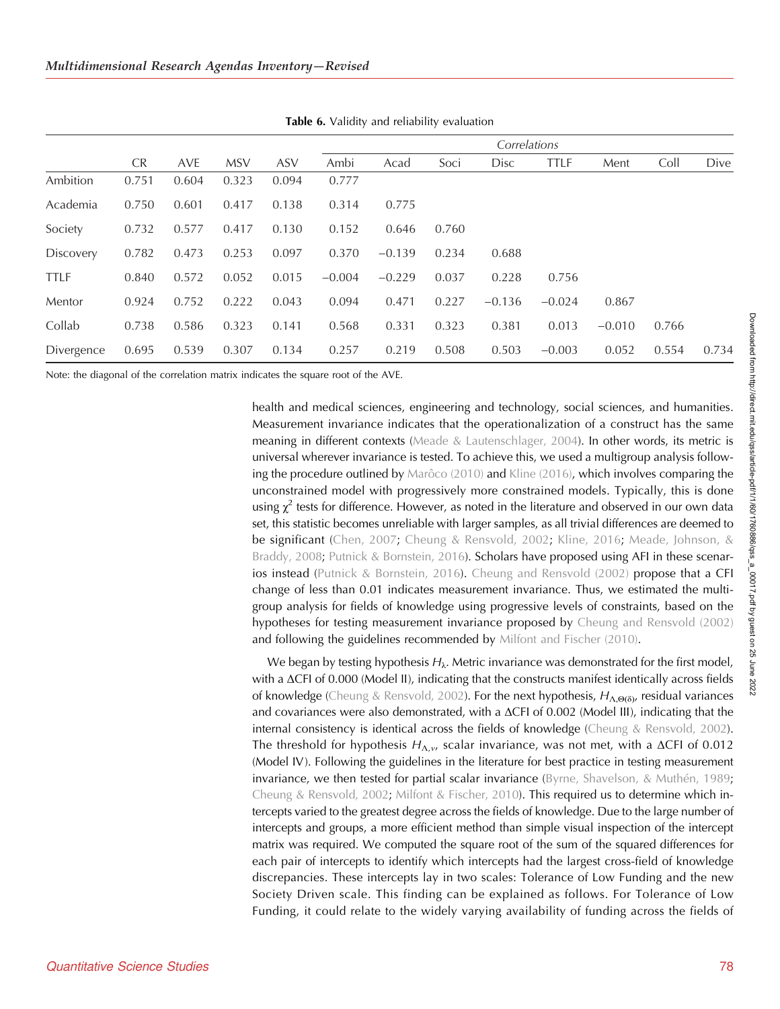<span id="page-18-0"></span>

|             |       |            |            |            |          | Correlations |       |             |             |          |       |       |
|-------------|-------|------------|------------|------------|----------|--------------|-------|-------------|-------------|----------|-------|-------|
|             | CR    | <b>AVE</b> | <b>MSV</b> | <b>ASV</b> | Ambi     | Acad         | Soci  | <b>Disc</b> | <b>TTLF</b> | Ment     | Coll  | Dive  |
| Ambition    | 0.751 | 0.604      | 0.323      | 0.094      | 0.777    |              |       |             |             |          |       |       |
| Academia    | 0.750 | 0.601      | 0.417      | 0.138      | 0.314    | 0.775        |       |             |             |          |       |       |
| Society     | 0.732 | 0.577      | 0.417      | 0.130      | 0.152    | 0.646        | 0.760 |             |             |          |       |       |
| Discovery   | 0.782 | 0.473      | 0.253      | 0.097      | 0.370    | $-0.139$     | 0.234 | 0.688       |             |          |       |       |
| <b>TTLF</b> | 0.840 | 0.572      | 0.052      | 0.015      | $-0.004$ | $-0.229$     | 0.037 | 0.228       | 0.756       |          |       |       |
| Mentor      | 0.924 | 0.752      | 0.222      | 0.043      | 0.094    | 0.471        | 0.227 | $-0.136$    | $-0.024$    | 0.867    |       |       |
| Collab      | 0.738 | 0.586      | 0.323      | 0.141      | 0.568    | 0.331        | 0.323 | 0.381       | 0.013       | $-0.010$ | 0.766 |       |
| Divergence  | 0.695 | 0.539      | 0.307      | 0.134      | 0.257    | 0.219        | 0.508 | 0.503       | $-0.003$    | 0.052    | 0.554 | 0.734 |

Table 6. Validity and reliability evaluation

Note: the diagonal of the correlation matrix indicates the square root of the AVE.

health and medical sciences, engineering and technology, social sciences, and humanities. Measurement invariance indicates that the operationalization of a construct has the same meaning in different contexts [\(Meade & Lautenschlager, 2004\)](#page-24-0). In other words, its metric is universal wherever invariance is tested. To achieve this, we used a multigroup analysis following the procedure outlined by [Marôco \(2010\)](#page-24-0) and [Kline \(2016\)](#page-24-0), which involves comparing the unconstrained model with progressively more constrained models. Typically, this is done using  $\chi^2$  tests for difference. However, as noted in the literature and observed in our own data set, this statistic becomes unreliable with larger samples, as all trivial differences are deemed to be significant [\(Chen, 2007;](#page-23-0) [Cheung & Rensvold, 2002;](#page-23-0) [Kline, 2016;](#page-24-0) [Meade, Johnson, &](#page-24-0) [Braddy, 2008;](#page-24-0) [Putnick & Bornstein, 2016](#page-25-0)). Scholars have proposed using AFI in these scenar-ios instead [\(Putnick & Bornstein, 2016](#page-25-0)). [Cheung and Rensvold \(2002\)](#page-23-0) propose that a CFI change of less than 0.01 indicates measurement invariance. Thus, we estimated the multigroup analysis for fields of knowledge using progressive levels of constraints, based on the hypotheses for testing measurement invariance proposed by [Cheung and Rensvold \(2002\)](#page-23-0) and following the guidelines recommended by [Milfont and Fischer \(2010\).](#page-24-0)

We began by testing hypothesis  $H_{\lambda}$ . Metric invariance was demonstrated for the first model, with a ΔCFI of 0.000 (Model II), indicating that the constructs manifest identically across fields of knowledge [\(Cheung & Rensvold, 2002\)](#page-23-0). For the next hypothesis,  $H_{\Delta \Theta(\delta)}$  residual variances and covariances were also demonstrated, with a ΔCFI of 0.002 (Model III), indicating that the internal consistency is identical across the fields of knowledge ([Cheung & Rensvold, 2002\)](#page-23-0). The threshold for hypothesis  $H_{\Lambda,\nu}$ , scalar invariance, was not met, with a  $\Delta$ CFI of 0.012 (Model IV). Following the guidelines in the literature for best practice in testing measurement invariance, we then tested for partial scalar invariance [\(Byrne, Shavelson, & Muthén, 1989](#page-23-0); [Cheung & Rensvold, 2002](#page-23-0); [Milfont & Fischer, 2010](#page-24-0)). This required us to determine which intercepts varied to the greatest degree across the fields of knowledge. Due to the large number of intercepts and groups, a more efficient method than simple visual inspection of the intercept matrix was required. We computed the square root of the sum of the squared differences for each pair of intercepts to identify which intercepts had the largest cross-field of knowledge discrepancies. These intercepts lay in two scales: Tolerance of Low Funding and the new Society Driven scale. This finding can be explained as follows. For Tolerance of Low Funding, it could relate to the widely varying availability of funding across the fields of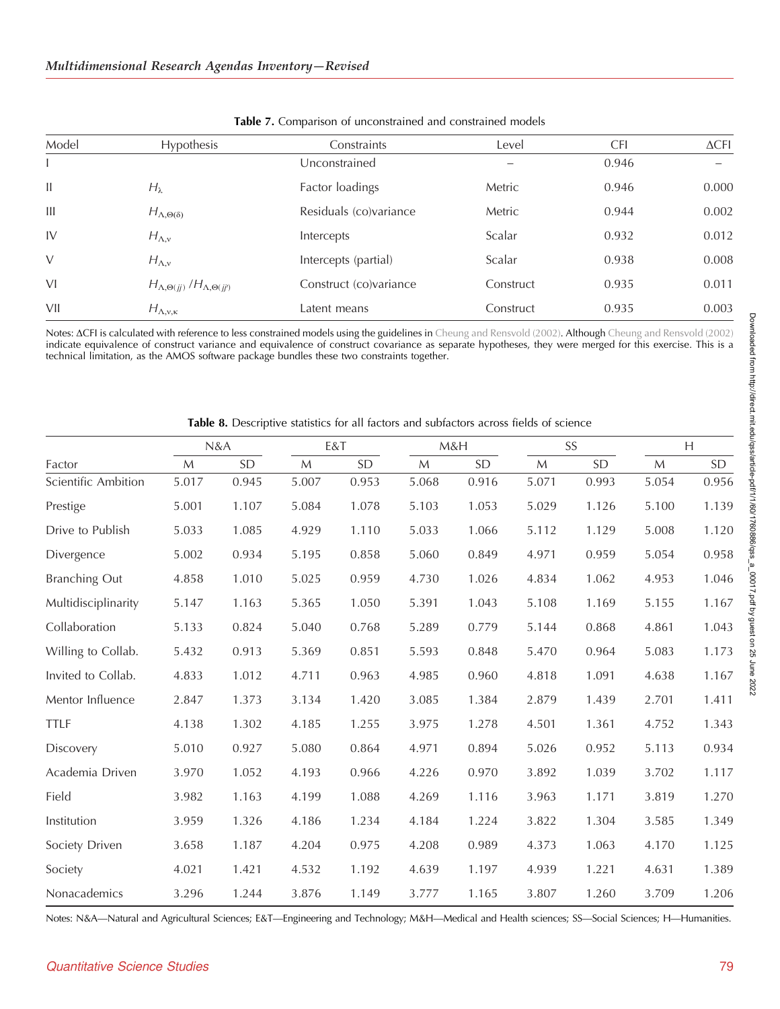<span id="page-19-0"></span>

| Model          | <b>Hypothesis</b>                                    | Constraints            | Level     | <b>CFI</b> | $\Delta$ CFI |
|----------------|------------------------------------------------------|------------------------|-----------|------------|--------------|
|                |                                                      | Unconstrained          |           | 0.946      |              |
| $\mathbf{II}$  | $H_{\lambda}$                                        | Factor loadings        | Metric    | 0.946      | 0.000        |
| $\mathbf{III}$ | $H_{\Lambda,\Theta(\delta)}$                         | Residuals (co)variance | Metric    | 0.944      | 0.002        |
| IV             | $H_{\Lambda,v}$                                      | Intercepts             | Scalar    | 0.932      | 0.012        |
| $\vee$         | $H_{\Lambda,v}$                                      | Intercepts (partial)   | Scalar    | 0.938      | 0.008        |
| VI             | $H_{\Lambda,\Theta(jj)}$ / $H_{\Lambda,\Theta(jj')}$ | Construct (co)variance | Construct | 0.935      | 0.011        |
| VII            | $H_{\Lambda,\nu,\kappa}$                             | Latent means           | Construct | 0.935      | 0.003        |

Notes: ΔCFI is calculated with reference to less constrained models using the guidelines in [Cheung and Rensvold \(2002\)](#page-23-0). Although [Cheung and Rensvold \(2002\)](#page-23-0) indicate equivalence of construct variance and equivalence of construct covariance as separate hypotheses, they were merged for this exercise. This is a technical limitation, as the AMOS software package bundles these two constraints together.

|                      | N&A          |       |                                                                                                            | E&T       |                                                                                                            | M&H   | SS                                                                                                         |                 | H     |       |
|----------------------|--------------|-------|------------------------------------------------------------------------------------------------------------|-----------|------------------------------------------------------------------------------------------------------------|-------|------------------------------------------------------------------------------------------------------------|-----------------|-------|-------|
| Factor               | $\mathsf{M}$ | SD    | $\mathsf{M}% _{T}=\mathsf{M}_{T}\!\left( a,b\right) ,\ \mathsf{M}_{T}=\mathsf{M}_{T}\!\left( a,b\right) ,$ | <b>SD</b> | $\mathsf{M}% _{T}=\mathsf{M}_{T}\!\left( a,b\right) ,\ \mathsf{M}_{T}=\mathsf{M}_{T}\!\left( a,b\right) ,$ | SD    | $\mathsf{M}% _{T}=\mathsf{M}_{T}\!\left( a,b\right) ,\ \mathsf{M}_{T}=\mathsf{M}_{T}\!\left( a,b\right) ,$ | SD <sub>1</sub> | M     | SD    |
| Scientific Ambition  | 5.017        | 0.945 | 5.007                                                                                                      | 0.953     | 5.068                                                                                                      | 0.916 | 5.071                                                                                                      | 0.993           | 5.054 | 0.956 |
| Prestige             | 5.001        | 1.107 | 5.084                                                                                                      | 1.078     | 5.103                                                                                                      | 1.053 | 5.029                                                                                                      | 1.126           | 5.100 | 1.139 |
| Drive to Publish     | 5.033        | 1.085 | 4.929                                                                                                      | 1.110     | 5.033                                                                                                      | 1.066 | 5.112                                                                                                      | 1.129           | 5.008 | 1.120 |
| Divergence           | 5.002        | 0.934 | 5.195                                                                                                      | 0.858     | 5.060                                                                                                      | 0.849 | 4.971                                                                                                      | 0.959           | 5.054 | 0.958 |
| <b>Branching Out</b> | 4.858        | 1.010 | 5.025                                                                                                      | 0.959     | 4.730                                                                                                      | 1.026 | 4.834                                                                                                      | 1.062           | 4.953 | 1.046 |
| Multidisciplinarity  | 5.147        | 1.163 | 5.365                                                                                                      | 1.050     | 5.391                                                                                                      | 1.043 | 5.108                                                                                                      | 1.169           | 5.155 | 1.167 |
| Collaboration        | 5.133        | 0.824 | 5.040                                                                                                      | 0.768     | 5.289                                                                                                      | 0.779 | 5.144                                                                                                      | 0.868           | 4.861 | 1.043 |
| Willing to Collab.   | 5.432        | 0.913 | 5.369                                                                                                      | 0.851     | 5.593                                                                                                      | 0.848 | 5.470                                                                                                      | 0.964           | 5.083 | 1.173 |
| Invited to Collab.   | 4.833        | 1.012 | 4.711                                                                                                      | 0.963     | 4.985                                                                                                      | 0.960 | 4.818                                                                                                      | 1.091           | 4.638 | 1.167 |
| Mentor Influence     | 2.847        | 1.373 | 3.134                                                                                                      | 1.420     | 3.085                                                                                                      | 1.384 | 2.879                                                                                                      | 1.439           | 2.701 | 1.411 |
| <b>TTLF</b>          | 4.138        | 1.302 | 4.185                                                                                                      | 1.255     | 3.975                                                                                                      | 1.278 | 4.501                                                                                                      | 1.361           | 4.752 | 1.343 |
| Discovery            | 5.010        | 0.927 | 5.080                                                                                                      | 0.864     | 4.971                                                                                                      | 0.894 | 5.026                                                                                                      | 0.952           | 5.113 | 0.934 |
| Academia Driven      | 3.970        | 1.052 | 4.193                                                                                                      | 0.966     | 4.226                                                                                                      | 0.970 | 3.892                                                                                                      | 1.039           | 3.702 | 1.117 |
| Field                | 3.982        | 1.163 | 4.199                                                                                                      | 1.088     | 4.269                                                                                                      | 1.116 | 3.963                                                                                                      | 1.171           | 3.819 | 1.270 |
| Institution          | 3.959        | 1.326 | 4.186                                                                                                      | 1.234     | 4.184                                                                                                      | 1.224 | 3.822                                                                                                      | 1.304           | 3.585 | 1.349 |
| Society Driven       | 3.658        | 1.187 | 4.204                                                                                                      | 0.975     | 4.208                                                                                                      | 0.989 | 4.373                                                                                                      | 1.063           | 4.170 | 1.125 |
| Society              | 4.021        | 1.421 | 4.532                                                                                                      | 1.192     | 4.639                                                                                                      | 1.197 | 4.939                                                                                                      | 1.221           | 4.631 | 1.389 |
| Nonacademics         | 3.296        | 1.244 | 3.876                                                                                                      | 1.149     | 3.777                                                                                                      | 1.165 | 3.807                                                                                                      | 1.260           | 3.709 | 1.206 |

Table 8. Descriptive statistics for all factors and subfactors across fields of science

Notes: N&A—Natural and Agricultural Sciences; E&T—Engineering and Technology; M&H—Medical and Health sciences; SS—Social Sciences; H—Humanities.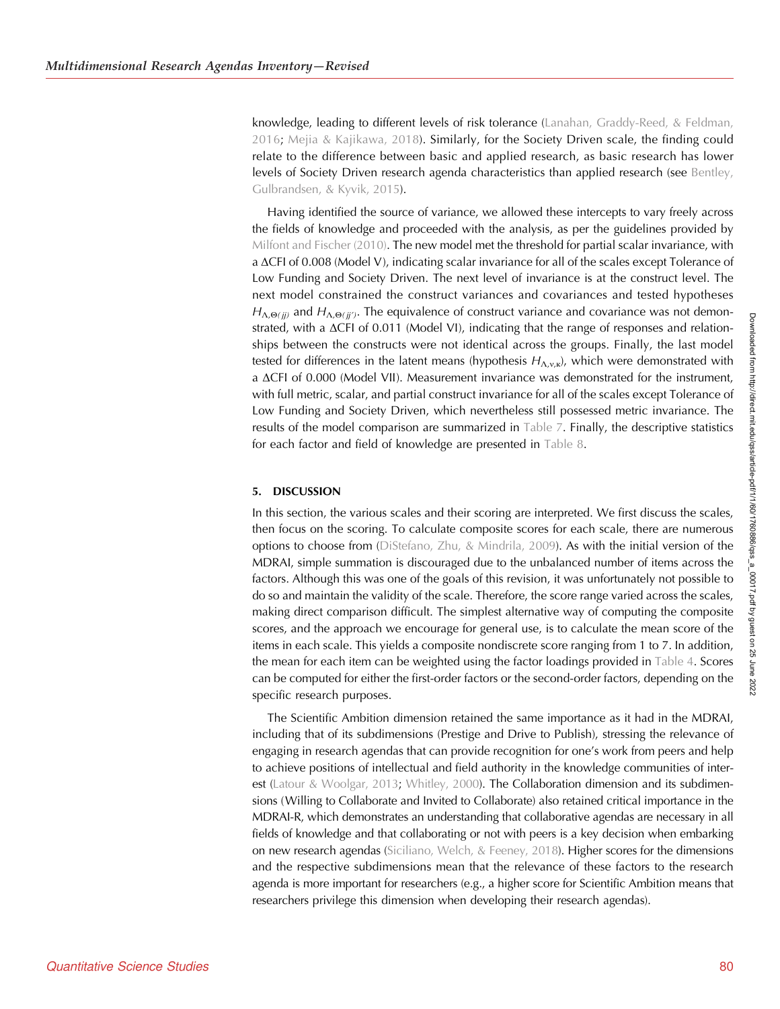knowledge, leading to different levels of risk tolerance ([Lanahan, Graddy-Reed, & Feldman,](#page-24-0) [2016](#page-24-0); [Mejia & Kajikawa, 2018](#page-24-0)). Similarly, for the Society Driven scale, the finding could relate to the difference between basic and applied research, as basic research has lower levels of Society Driven research agenda characteristics than applied research (see [Bentley,](#page-23-0) [Gulbrandsen, & Kyvik, 2015](#page-23-0)).

Having identified the source of variance, we allowed these intercepts to vary freely across the fields of knowledge and proceeded with the analysis, as per the guidelines provided by [Milfont and Fischer \(2010\).](#page-24-0) The new model met the threshold for partial scalar invariance, with a ΔCFI of 0.008 (Model V), indicating scalar invariance for all of the scales except Tolerance of Low Funding and Society Driven. The next level of invariance is at the construct level. The next model constrained the construct variances and covariances and tested hypotheses  $H_{\Lambda,\Theta(iii)}$  and  $H_{\Lambda,\Theta(iii')}$ . The equivalence of construct variance and covariance was not demonstrated, with a ΔCFI of 0.011 (Model VI), indicating that the range of responses and relationships between the constructs were not identical across the groups. Finally, the last model tested for differences in the latent means (hypothesis  $H_{\Lambda v,k}$ ), which were demonstrated with a ΔCFI of 0.000 (Model VII). Measurement invariance was demonstrated for the instrument, with full metric, scalar, and partial construct invariance for all of the scales except Tolerance of Low Funding and Society Driven, which nevertheless still possessed metric invariance. The results of the model comparison are summarized in [Table 7.](#page-19-0) Finally, the descriptive statistics for each factor and field of knowledge are presented in [Table 8](#page-19-0).

### 5. DISCUSSION

In this section, the various scales and their scoring are interpreted. We first discuss the scales, then focus on the scoring. To calculate composite scores for each scale, there are numerous options to choose from [\(DiStefano, Zhu, & Mindrila, 2009](#page-24-0)). As with the initial version of the MDRAI, simple summation is discouraged due to the unbalanced number of items across the factors. Although this was one of the goals of this revision, it was unfortunately not possible to do so and maintain the validity of the scale. Therefore, the score range varied across the scales, making direct comparison difficult. The simplest alternative way of computing the composite scores, and the approach we encourage for general use, is to calculate the mean score of the items in each scale. This yields a composite nondiscrete score ranging from 1 to 7. In addition, the mean for each item can be weighted using the factor loadings provided in [Table 4.](#page-13-0) Scores can be computed for either the first-order factors or the second-order factors, depending on the specific research purposes.

The Scientific Ambition dimension retained the same importance as it had in the MDRAI, including that of its subdimensions (Prestige and Drive to Publish), stressing the relevance of engaging in research agendas that can provide recognition for one's work from peers and help to achieve positions of intellectual and field authority in the knowledge communities of inter-est [\(Latour & Woolgar, 2013](#page-24-0); [Whitley, 2000](#page-25-0)). The Collaboration dimension and its subdimensions (Willing to Collaborate and Invited to Collaborate) also retained critical importance in the MDRAI-R, which demonstrates an understanding that collaborative agendas are necessary in all fields of knowledge and that collaborating or not with peers is a key decision when embarking on new research agendas [\(Siciliano, Welch, & Feeney, 2018](#page-25-0)). Higher scores for the dimensions and the respective subdimensions mean that the relevance of these factors to the research agenda is more important for researchers (e.g., a higher score for Scientific Ambition means that researchers privilege this dimension when developing their research agendas).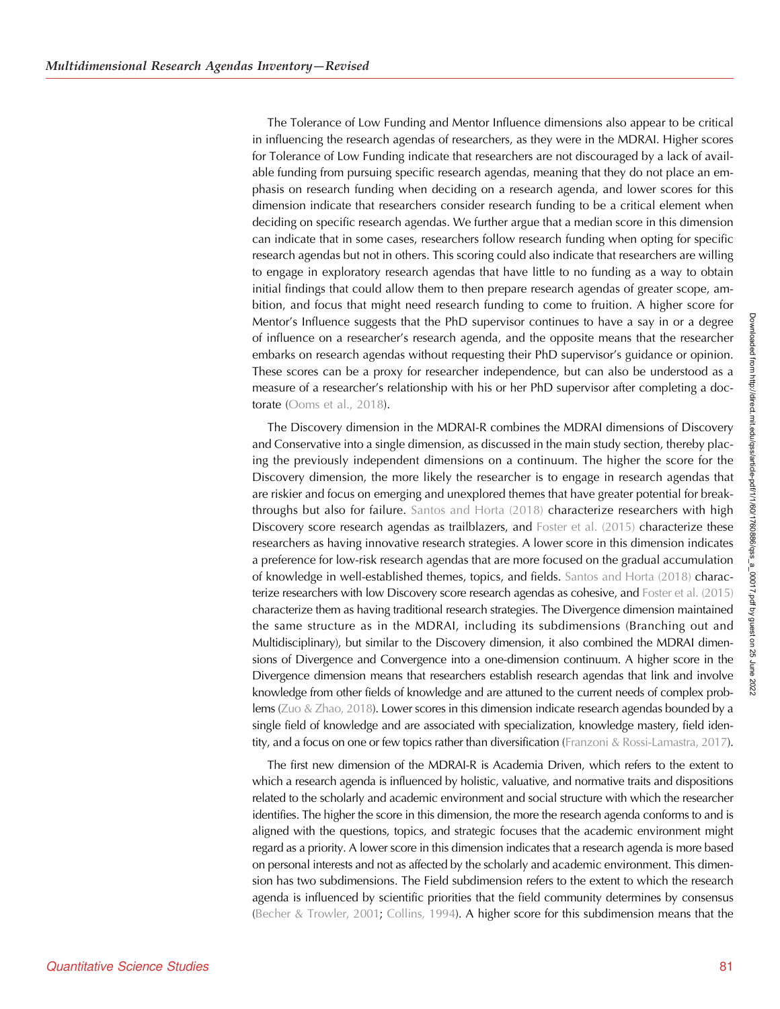The Tolerance of Low Funding and Mentor Influence dimensions also appear to be critical in influencing the research agendas of researchers, as they were in the MDRAI. Higher scores for Tolerance of Low Funding indicate that researchers are not discouraged by a lack of available funding from pursuing specific research agendas, meaning that they do not place an emphasis on research funding when deciding on a research agenda, and lower scores for this dimension indicate that researchers consider research funding to be a critical element when deciding on specific research agendas. We further argue that a median score in this dimension can indicate that in some cases, researchers follow research funding when opting for specific research agendas but not in others. This scoring could also indicate that researchers are willing to engage in exploratory research agendas that have little to no funding as a way to obtain initial findings that could allow them to then prepare research agendas of greater scope, ambition, and focus that might need research funding to come to fruition. A higher score for Mentor's Influence suggests that the PhD supervisor continues to have a say in or a degree of influence on a researcher's research agenda, and the opposite means that the researcher embarks on research agendas without requesting their PhD supervisor's guidance or opinion. These scores can be a proxy for researcher independence, but can also be understood as a measure of a researcher's relationship with his or her PhD supervisor after completing a doctorate ([Ooms et al., 2018](#page-24-0)).

The Discovery dimension in the MDRAI-R combines the MDRAI dimensions of Discovery and Conservative into a single dimension, as discussed in the main study section, thereby placing the previously independent dimensions on a continuum. The higher the score for the Discovery dimension, the more likely the researcher is to engage in research agendas that are riskier and focus on emerging and unexplored themes that have greater potential for breakthroughs but also for failure. [Santos and Horta \(2018\)](#page-25-0) characterize researchers with high Discovery score research agendas as trailblazers, and [Foster et al. \(2015\)](#page-24-0) characterize these researchers as having innovative research strategies. A lower score in this dimension indicates a preference for low-risk research agendas that are more focused on the gradual accumulation of knowledge in well-established themes, topics, and fields. [Santos and Horta \(2018\)](#page-25-0) characterize researchers with low Discovery score research agendas as cohesive, and [Foster et al. \(2015\)](#page-24-0) characterize them as having traditional research strategies. The Divergence dimension maintained the same structure as in the MDRAI, including its subdimensions (Branching out and Multidisciplinary), but similar to the Discovery dimension, it also combined the MDRAI dimensions of Divergence and Convergence into a one-dimension continuum. A higher score in the Divergence dimension means that researchers establish research agendas that link and involve knowledge from other fields of knowledge and are attuned to the current needs of complex problems ( $Zuo \& Zhao$ , 2018). Lower scores in this dimension indicate research agendas bounded by a single field of knowledge and are associated with specialization, knowledge mastery, field identity, and a focus on one or few topics rather than diversification ([Franzoni & Rossi-Lamastra, 2017](#page-24-0)).

The first new dimension of the MDRAI-R is Academia Driven, which refers to the extent to which a research agenda is influenced by holistic, valuative, and normative traits and dispositions related to the scholarly and academic environment and social structure with which the researcher identifies. The higher the score in this dimension, the more the research agenda conforms to and is aligned with the questions, topics, and strategic focuses that the academic environment might regard as a priority. A lower score in this dimension indicates that a research agenda is more based on personal interests and not as affected by the scholarly and academic environment. This dimension has two subdimensions. The Field subdimension refers to the extent to which the research agenda is influenced by scientific priorities that the field community determines by consensus [\(Becher & Trowler, 2001](#page-23-0); [Collins, 1994\)](#page-24-0). A higher score for this subdimension means that the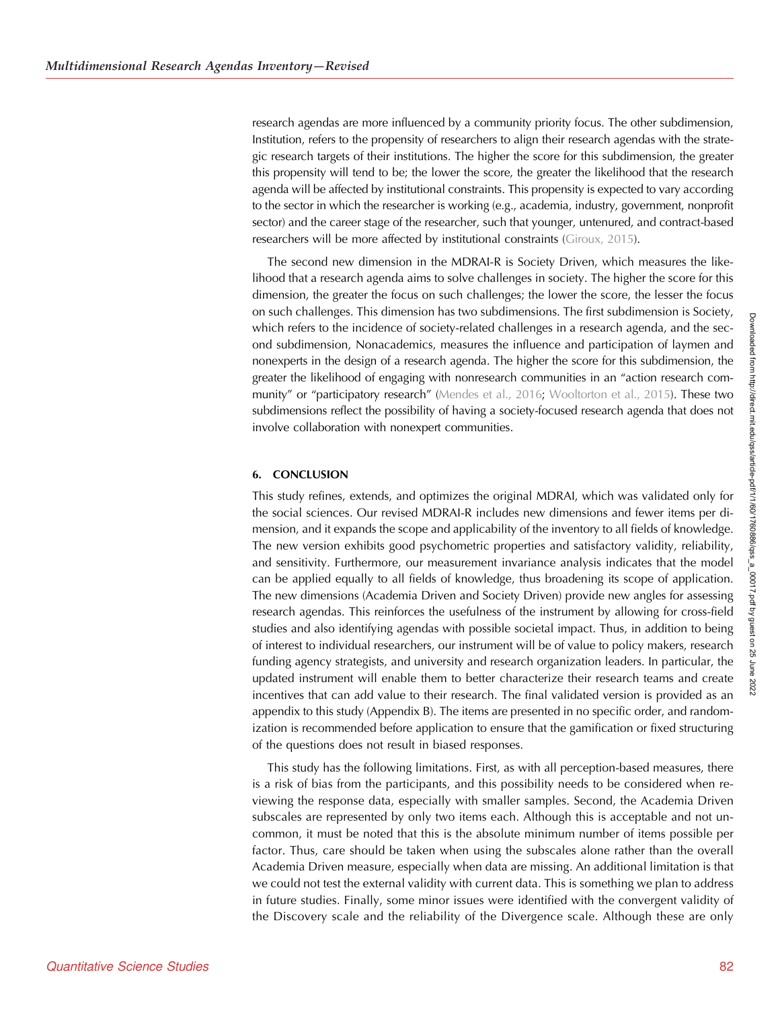research agendas are more influenced by a community priority focus. The other subdimension, Institution, refers to the propensity of researchers to align their research agendas with the strategic research targets of their institutions. The higher the score for this subdimension, the greater this propensity will tend to be; the lower the score, the greater the likelihood that the research agenda will be affected by institutional constraints. This propensity is expected to vary according to the sector in which the researcher is working (e.g., academia, industry, government, nonprofit sector) and the career stage of the researcher, such that younger, untenured, and contract-based researchers will be more affected by institutional constraints [\(Giroux, 2015\)](#page-24-0).

The second new dimension in the MDRAI-R is Society Driven, which measures the likelihood that a research agenda aims to solve challenges in society. The higher the score for this dimension, the greater the focus on such challenges; the lower the score, the lesser the focus on such challenges. This dimension has two subdimensions. The first subdimension is Society, which refers to the incidence of society-related challenges in a research agenda, and the second subdimension, Nonacademics, measures the influence and participation of laymen and nonexperts in the design of a research agenda. The higher the score for this subdimension, the greater the likelihood of engaging with nonresearch communities in an "action research community" or "participatory research" [\(Mendes et al., 2016;](#page-24-0) [Wooltorton et al., 2015](#page-25-0)). These two subdimensions reflect the possibility of having a society-focused research agenda that does not involve collaboration with nonexpert communities.

#### 6. CONCLUSION

This study refines, extends, and optimizes the original MDRAI, which was validated only for the social sciences. Our revised MDRAI-R includes new dimensions and fewer items per dimension, and it expands the scope and applicability of the inventory to all fields of knowledge. The new version exhibits good psychometric properties and satisfactory validity, reliability, and sensitivity. Furthermore, our measurement invariance analysis indicates that the model can be applied equally to all fields of knowledge, thus broadening its scope of application. The new dimensions (Academia Driven and Society Driven) provide new angles for assessing research agendas. This reinforces the usefulness of the instrument by allowing for cross-field studies and also identifying agendas with possible societal impact. Thus, in addition to being of interest to individual researchers, our instrument will be of value to policy makers, research funding agency strategists, and university and research organization leaders. In particular, the updated instrument will enable them to better characterize their research teams and create incentives that can add value to their research. The final validated version is provided as an appendix to this study (Appendix B). The items are presented in no specific order, and randomization is recommended before application to ensure that the gamification or fixed structuring of the questions does not result in biased responses.

This study has the following limitations. First, as with all perception-based measures, there is a risk of bias from the participants, and this possibility needs to be considered when reviewing the response data, especially with smaller samples. Second, the Academia Driven subscales are represented by only two items each. Although this is acceptable and not uncommon, it must be noted that this is the absolute minimum number of items possible per factor. Thus, care should be taken when using the subscales alone rather than the overall Academia Driven measure, especially when data are missing. An additional limitation is that we could not test the external validity with current data. This is something we plan to address in future studies. Finally, some minor issues were identified with the convergent validity of the Discovery scale and the reliability of the Divergence scale. Although these are only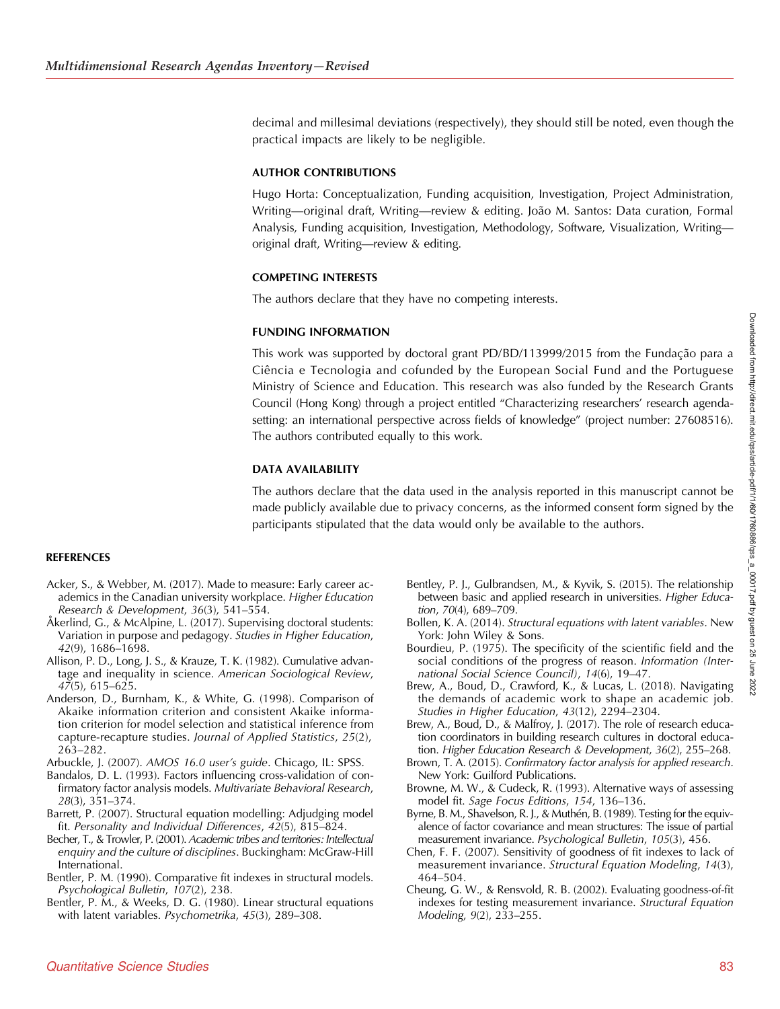<span id="page-23-0"></span>decimal and millesimal deviations (respectively), they should still be noted, even though the practical impacts are likely to be negligible.

### AUTHOR CONTRIBUTIONS

Hugo Horta: Conceptualization, Funding acquisition, Investigation, Project Administration, Writing—original draft, Writing—review & editing. João M. Santos: Data curation, Formal Analysis, Funding acquisition, Investigation, Methodology, Software, Visualization, Writing original draft, Writing—review & editing.

### COMPETING INTERESTS

The authors declare that they have no competing interests.

# FUNDING INFORMATION

This work was supported by doctoral grant PD/BD/113999/2015 from the Fundação para a Ciência e Tecnologia and cofunded by the European Social Fund and the Portuguese Ministry of Science and Education. This research was also funded by the Research Grants Council (Hong Kong) through a project entitled "Characterizing researchers' research agendasetting: an international perspective across fields of knowledge" (project number: 27608516). The authors contributed equally to this work.

### DATA AVAILABILITY

The authors declare that the data used in the analysis reported in this manuscript cannot be made publicly available due to privacy concerns, as the informed consent form signed by the participants stipulated that the data would only be available to the authors.

#### REFERENCES

- Acker, S., & Webber, M. (2017). Made to measure: Early career academics in the Canadian university workplace. Higher Education Research & Development, 36(3), 541–554.
- Åkerlind, G., & McAlpine, L. (2017). Supervising doctoral students: Variation in purpose and pedagogy. Studies in Higher Education, 42(9), 1686–1698.
- Allison, P. D., Long, J. S., & Krauze, T. K. (1982). Cumulative advantage and inequality in science. American Sociological Review, 47(5), 615–625.
- Anderson, D., Burnham, K., & White, G. (1998). Comparison of Akaike information criterion and consistent Akaike information criterion for model selection and statistical inference from capture-recapture studies. Journal of Applied Statistics, 25(2), 263–282.
- Arbuckle, J. (2007). AMOS 16.0 user's guide. Chicago, IL: SPSS.
- Bandalos, D. L. (1993). Factors influencing cross-validation of confirmatory factor analysis models. Multivariate Behavioral Research, 28(3), 351–374.
- Barrett, P. (2007). Structural equation modelling: Adjudging model fit. Personality and Individual Differences, 42(5), 815–824.
- Becher, T., & Trowler, P. (2001). Academic tribes and territories: Intellectual enquiry and the culture of disciplines. Buckingham: McGraw-Hill International.
- Bentler, P. M. (1990). Comparative fit indexes in structural models. Psychological Bulletin, 107(2), 238.
- Bentler, P. M., & Weeks, D. G. (1980). Linear structural equations with latent variables. Psychometrika, 45(3), 289–308.
- Bentley, P. J., Gulbrandsen, M., & Kyvik, S. (2015). The relationship between basic and applied research in universities. Higher Education, 70(4), 689–709.
- Bollen, K. A. (2014). Structural equations with latent variables. New York: John Wiley & Sons.
- Bourdieu, P. (1975). The specificity of the scientific field and the social conditions of the progress of reason. Information (International Social Science Council), 14(6), 19–47.
- Brew, A., Boud, D., Crawford, K., & Lucas, L. (2018). Navigating the demands of academic work to shape an academic job. Studies in Higher Education, 43(12), 2294–2304.
- Brew, A., Boud, D., & Malfroy, J. (2017). The role of research education coordinators in building research cultures in doctoral education. Higher Education Research & Development, 36(2), 255–268.
- Brown, T. A. (2015). Confirmatory factor analysis for applied research. New York: Guilford Publications.
- Browne, M. W., & Cudeck, R. (1993). Alternative ways of assessing model fit. Sage Focus Editions, 154, 136–136.
- Byrne, B. M., Shavelson, R. J., & Muthén, B. (1989). Testing for the equivalence of factor covariance and mean structures: The issue of partial measurement invariance. Psychological Bulletin, 105(3), 456.
- Chen, F. F. (2007). Sensitivity of goodness of fit indexes to lack of measurement invariance. Structural Equation Modeling, 14(3), 464–504.
- Cheung, G. W., & Rensvold, R. B. (2002). Evaluating goodness-of-fit indexes for testing measurement invariance. Structural Equation Modeling, 9(2), 233–255.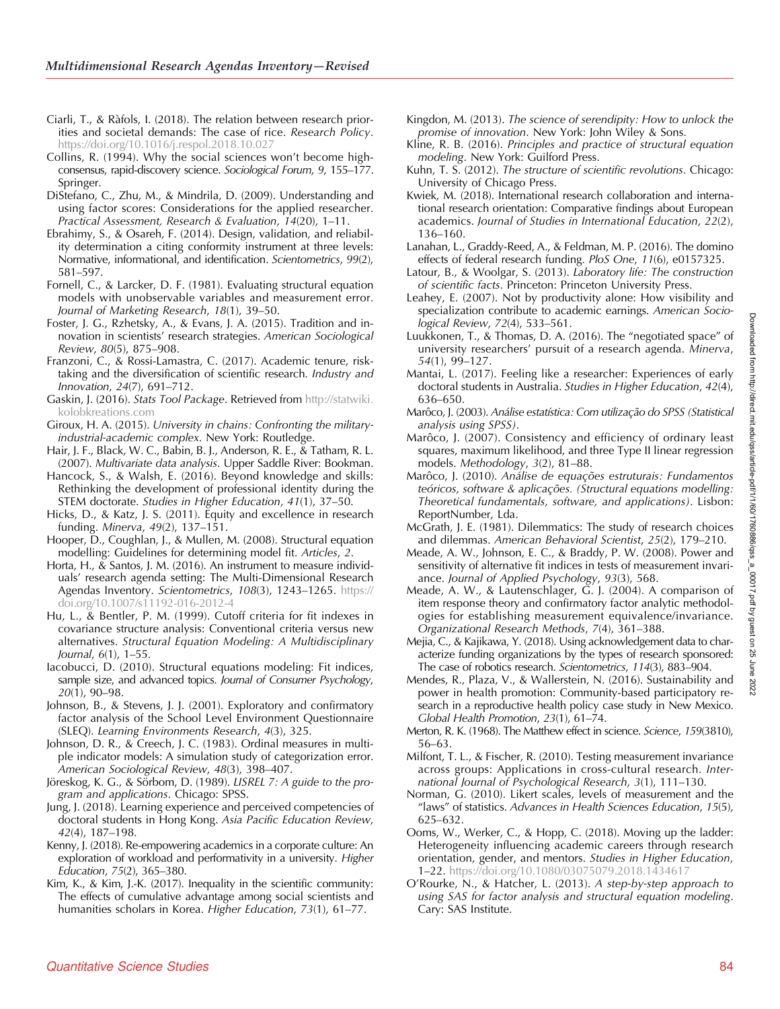- <span id="page-24-0"></span>Ciarli, T., & Ràfols, I. (2018). The relation between research priorities and societal demands: The case of rice. Research Policy. <https://doi.org/10.1016/j.respol.2018.10.027>
- Collins, R. (1994). Why the social sciences won't become highconsensus, rapid-discovery science. Sociological Forum, 9, 155–177. Springer.
- DiStefano, C., Zhu, M., & Mindrila, D. (2009). Understanding and using factor scores: Considerations for the applied researcher. Practical Assessment, Research & Evaluation, 14(20), 1–11.
- Ebrahimy, S., & Osareh, F. (2014). Design, validation, and reliability determination a citing conformity instrument at three levels: Normative, informational, and identification. Scientometrics, 99(2), 581–597.
- Fornell, C., & Larcker, D. F. (1981). Evaluating structural equation models with unobservable variables and measurement error. Journal of Marketing Research, 18(1), 39–50.
- Foster, J. G., Rzhetsky, A., & Evans, J. A. (2015). Tradition and innovation in scientists' research strategies. American Sociological Review, 80(5), 875–908.
- Franzoni, C., & Rossi-Lamastra, C. (2017). Academic tenure, risktaking and the diversification of scientific research. Industry and Innovation, 24(7), 691–712.
- Gaskin, J. (2016). Stats Tool Package. Retrieved from [http://statwiki.](http://statwiki.kolobkreations.com) [kolobkreations.com](http://statwiki.kolobkreations.com)
- Giroux, H. A. (2015). University in chains: Confronting the militaryindustrial-academic complex. New York: Routledge.
- Hair, J. F., Black, W. C., Babin, B. J., Anderson, R. E., & Tatham, R. L. (2007). Multivariate data analysis. Upper Saddle River: Bookman.
- Hancock, S., & Walsh, E. (2016). Beyond knowledge and skills: Rethinking the development of professional identity during the STEM doctorate. Studies in Higher Education, 41(1), 37–50.
- Hicks, D., & Katz, J. S. (2011). Equity and excellence in research funding. Minerva, 49(2), 137–151.
- Hooper, D., Coughlan, J., & Mullen, M. (2008). Structural equation modelling: Guidelines for determining model fit. Articles, 2.
- Horta, H., & Santos, J. M. (2016). An instrument to measure individuals' research agenda setting: The Multi-Dimensional Research Agendas Inventory. Scientometrics, 108(3), 1243-1265. [https://](https://doi.org/10.1007/s11192-016-2012-4) [doi.org/10.1007/s11192-016-2012-4](https://doi.org/10.1007/s11192-016-2012-4)
- Hu, L., & Bentler, P. M. (1999). Cutoff criteria for fit indexes in covariance structure analysis: Conventional criteria versus new alternatives. Structural Equation Modeling: A Multidisciplinary Journal, 6(1), 1–55.
- Iacobucci, D. (2010). Structural equations modeling: Fit indices, sample size, and advanced topics. Journal of Consumer Psychology, 20(1), 90–98.
- Johnson, B., & Stevens, J. J. (2001). Exploratory and confirmatory factor analysis of the School Level Environment Questionnaire (SLEQ). Learning Environments Research, 4(3), 325.
- Johnson, D. R., & Creech, J. C. (1983). Ordinal measures in multiple indicator models: A simulation study of categorization error. American Sociological Review, 48(3), 398–407.
- Jöreskog, K. G., & Sörbom, D. (1989). LISREL 7: A guide to the program and applications. Chicago: SPSS.
- Jung, J. (2018). Learning experience and perceived competencies of doctoral students in Hong Kong. Asia Pacific Education Review, 42(4), 187–198.
- Kenny, J. (2018). Re-empowering academics in a corporate culture: An exploration of workload and performativity in a university. Higher Education, 75(2), 365–380.
- Kim, K., & Kim, J.-K. (2017). Inequality in the scientific community: The effects of cumulative advantage among social scientists and humanities scholars in Korea. Higher Education, 73(1), 61–77.
- Kingdon, M. (2013). The science of serendipity: How to unlock the promise of innovation. New York: John Wiley & Sons.
- Kline, R. B. (2016). Principles and practice of structural equation modeling. New York: Guilford Press.
- Kuhn, T. S. (2012). The structure of scientific revolutions. Chicago: University of Chicago Press.
- Kwiek, M. (2018). International research collaboration and international research orientation: Comparative findings about European academics. Journal of Studies in International Education, 22(2), 136–160.
- Lanahan, L., Graddy-Reed, A., & Feldman, M. P. (2016). The domino effects of federal research funding. PloS One, 11(6), e0157325.
- Latour, B., & Woolgar, S. (2013). Laboratory life: The construction of scientific facts. Princeton: Princeton University Press.
- Leahey, E. (2007). Not by productivity alone: How visibility and specialization contribute to academic earnings. American Sociological Review, 72(4), 533–561.
- Luukkonen, T., & Thomas, D. A. (2016). The "negotiated space" of university researchers' pursuit of a research agenda. Minerva, 54(1), 99–127.
- Mantai, L. (2017). Feeling like a researcher: Experiences of early doctoral students in Australia. Studies in Higher Education, 42(4), 636–650.
- Marôco, J. (2003). Análise estatística: Com utilização do SPSS (Statistical analysis using SPSS).
- Marôco, J. (2007). Consistency and efficiency of ordinary least squares, maximum likelihood, and three Type II linear regression models. Methodology, 3(2), 81–88.
- Marôco, J. (2010). Análise de equações estruturais: Fundamentos teóricos, software & aplicações. (Structural equations modelling: Theoretical fundamentals, software, and applications). Lisbon: ReportNumber, Lda.
- McGrath, J. E. (1981). Dilemmatics: The study of research choices and dilemmas. American Behavioral Scientist, 25(2), 179–210.
- Meade, A. W., Johnson, E. C., & Braddy, P. W. (2008). Power and sensitivity of alternative fit indices in tests of measurement invariance. Journal of Applied Psychology, 93(3), 568.
- Meade, A. W., & Lautenschlager, G. J. (2004). A comparison of item response theory and confirmatory factor analytic methodologies for establishing measurement equivalence/invariance. Organizational Research Methods, 7(4), 361–388.
- Mejia, C., & Kajikawa, Y. (2018). Using acknowledgement data to characterize funding organizations by the types of research sponsored: The case of robotics research. Scientometrics, 114(3), 883–904.
- Mendes, R., Plaza, V., & Wallerstein, N. (2016). Sustainability and power in health promotion: Community-based participatory research in a reproductive health policy case study in New Mexico. Global Health Promotion, 23(1), 61–74.
- Merton, R. K. (1968). The Matthew effect in science. Science, 159(3810), 56–63.
- Milfont, T. L., & Fischer, R. (2010). Testing measurement invariance across groups: Applications in cross-cultural research. International Journal of Psychological Research, 3(1), 111–130.
- Norman, G. (2010). Likert scales, levels of measurement and the "laws" of statistics. Advances in Health Sciences Education, 15(5), 625–632.
- Ooms, W., Werker, C., & Hopp, C. (2018). Moving up the ladder: Heterogeneity influencing academic careers through research orientation, gender, and mentors. Studies in Higher Education, 1–22. <https://doi.org/10.1080/03075079.2018.1434617>
- O'Rourke, N., & Hatcher, L. (2013). A step-by-step approach to using SAS for factor analysis and structural equation modeling. Cary: SAS Institute.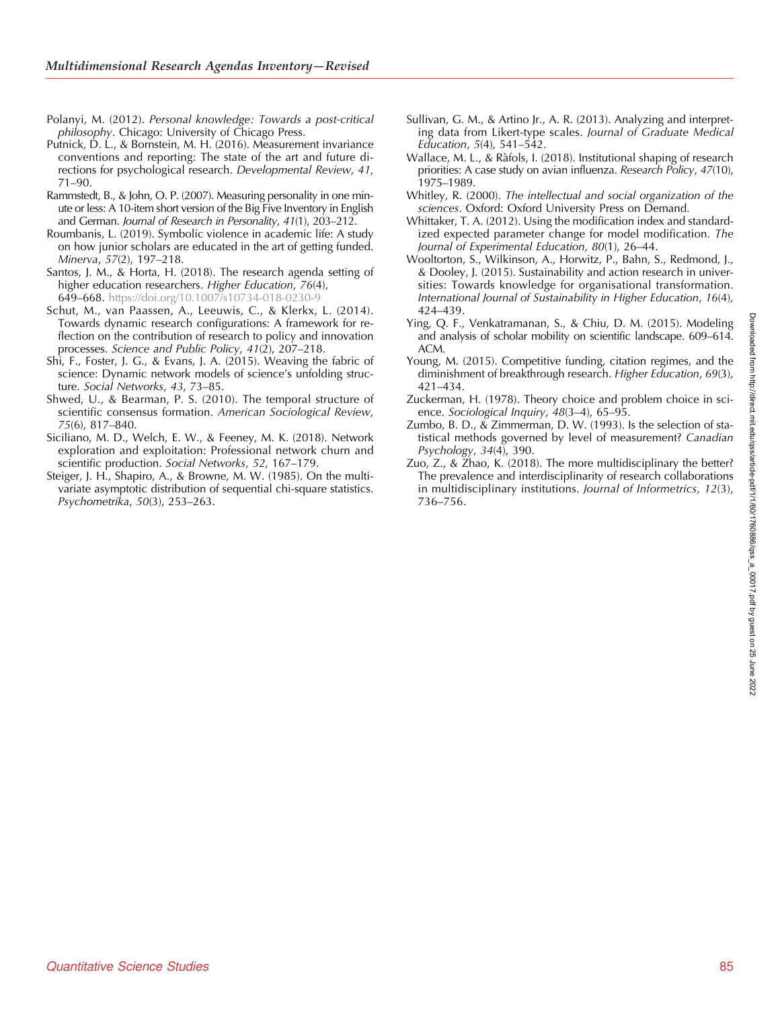- <span id="page-25-0"></span>Polanyi, M. (2012). Personal knowledge: Towards a post-critical philosophy. Chicago: University of Chicago Press.
- Putnick, D. L., & Bornstein, M. H. (2016). Measurement invariance conventions and reporting: The state of the art and future directions for psychological research. Developmental Review, 41, 71–90.
- Rammstedt, B., & John, O. P. (2007). Measuring personality in one minute or less: A 10-item short version of the Big Five Inventory in English and German. Journal of Research in Personality, 41(1), 203–212.
- Roumbanis, L. (2019). Symbolic violence in academic life: A study on how junior scholars are educated in the art of getting funded. Minerva, 57(2), 197–218.
- Santos, J. M., & Horta, H. (2018). The research agenda setting of higher education researchers. Higher Education, 76(4), 649–668. <https://doi.org/10.1007/s10734-018-0230-9>
- Schut, M., van Paassen, A., Leeuwis, C., & Klerkx, L. (2014). Towards dynamic research configurations: A framework for reflection on the contribution of research to policy and innovation processes. Science and Public Policy, 41(2), 207–218.
- Shi, F., Foster, J. G., & Evans, J. A. (2015). Weaving the fabric of science: Dynamic network models of science's unfolding structure. Social Networks, 43, 73–85.
- Shwed, U., & Bearman, P. S. (2010). The temporal structure of scientific consensus formation. American Sociological Review, 75(6), 817–840.
- Siciliano, M. D., Welch, E. W., & Feeney, M. K. (2018). Network exploration and exploitation: Professional network churn and scientific production. Social Networks, 52, 167–179.
- Steiger, J. H., Shapiro, A., & Browne, M. W. (1985). On the multivariate asymptotic distribution of sequential chi-square statistics. Psychometrika, 50(3), 253–263.
- Sullivan, G. M., & Artino Jr., A. R. (2013). Analyzing and interpreting data from Likert-type scales. Journal of Graduate Medical Education,  $5(4)$ ,  $541 - 542$ .
- Wallace, M. L., & Ràfols, I. (2018). Institutional shaping of research priorities: A case study on avian influenza. Research Policy, 47(10), 1975–1989.
- Whitley, R. (2000). The intellectual and social organization of the sciences. Oxford: Oxford University Press on Demand.
- Whittaker, T. A. (2012). Using the modification index and standardized expected parameter change for model modification. The Journal of Experimental Education, 80(1), 26–44.
- Wooltorton, S., Wilkinson, A., Horwitz, P., Bahn, S., Redmond, J., & Dooley, J. (2015). Sustainability and action research in universities: Towards knowledge for organisational transformation. International Journal of Sustainability in Higher Education, 16(4), 424–439.
- Ying, Q. F., Venkatramanan, S., & Chiu, D. M. (2015). Modeling and analysis of scholar mobility on scientific landscape. 609–614. ACM.
- Young, M. (2015). Competitive funding, citation regimes, and the diminishment of breakthrough research. Higher Education, 69(3), 421–434.
- Zuckerman, H. (1978). Theory choice and problem choice in science. Sociological Inquiry, 48(3–4), 65–95.
- Zumbo, B. D., & Zimmerman, D. W. (1993). Is the selection of statistical methods governed by level of measurement? Canadian Psychology, 34(4), 390.
- Zuo, Z., & Zhao, K. (2018). The more multidisciplinary the better? The prevalence and interdisciplinarity of research collaborations in multidisciplinary institutions. Journal of Informetrics, 12(3), 736–756.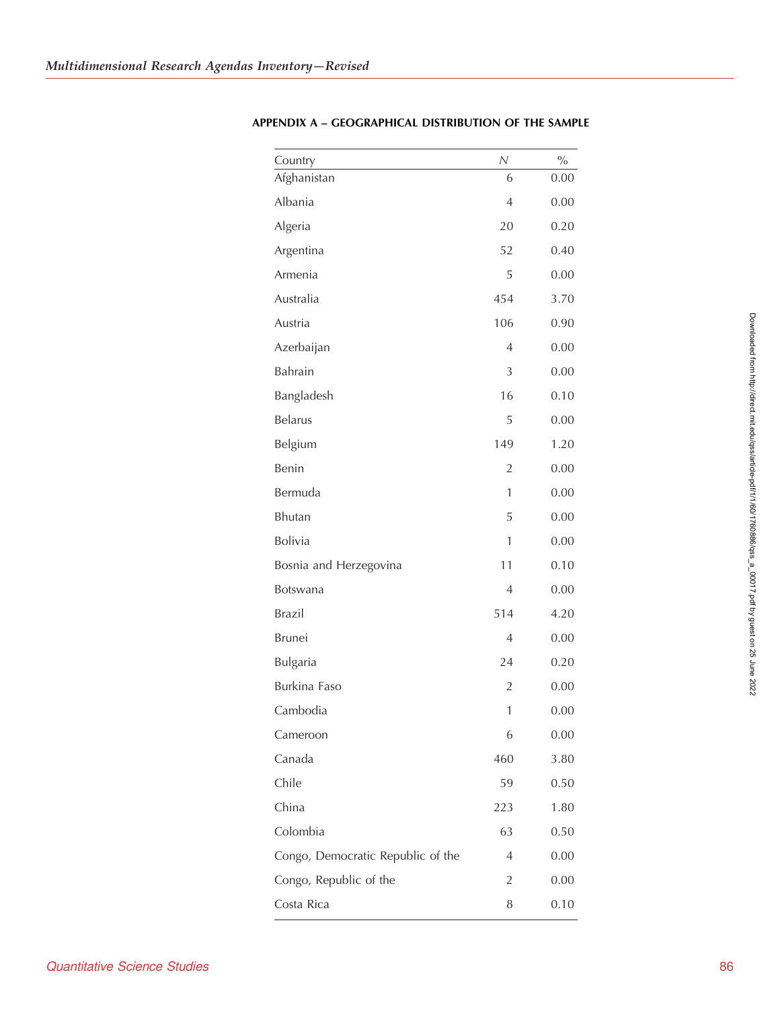| Country                           | $\cal N$       | $\%$ |
|-----------------------------------|----------------|------|
| Afghanistan                       | 6              | 0.00 |
| Albania                           | $\overline{4}$ | 0.00 |
| Algeria                           | 20             | 0.20 |
| Argentina                         | 52             | 0.40 |
| Armenia                           | 5              | 0.00 |
| Australia                         | 454            | 3.70 |
| Austria                           | 106            | 0.90 |
| Azerbaijan                        | $\overline{4}$ | 0.00 |
| Bahrain                           | 3              | 0.00 |
| Bangladesh                        | 16             | 0.10 |
| Belarus                           | 5              | 0.00 |
| Belgium                           | 149            | 1.20 |
| Benin                             | $\sqrt{2}$     | 0.00 |
| Bermuda                           | 1              | 0.00 |
| Bhutan                            | 5              | 0.00 |
| Bolivia                           | 1              | 0.00 |
| Bosnia and Herzegovina            | 11             | 0.10 |
| Botswana                          | $\overline{4}$ | 0.00 |
| Brazil                            | 514            | 4.20 |
| <b>Brunei</b>                     | $\overline{4}$ | 0.00 |
| Bulgaria                          | 24             | 0.20 |
| Burkina Faso                      | $\sqrt{2}$     | 0.00 |
| Cambodia                          | 1              | 0.00 |
| Cameroon                          | 6              | 0.00 |
| Canada                            | 460            | 3.80 |
| Chile                             | 59             | 0.50 |
| China                             | 223            | 1.80 |
| Colombia                          | 63             | 0.50 |
| Congo, Democratic Republic of the | 4              | 0.00 |
| Congo, Republic of the            | 2              | 0.00 |
| Costa Rica                        | 8              | 0.10 |

# APPENDIX A – GEOGRAPHICAL DISTRIBUTION OF THE SAMPLE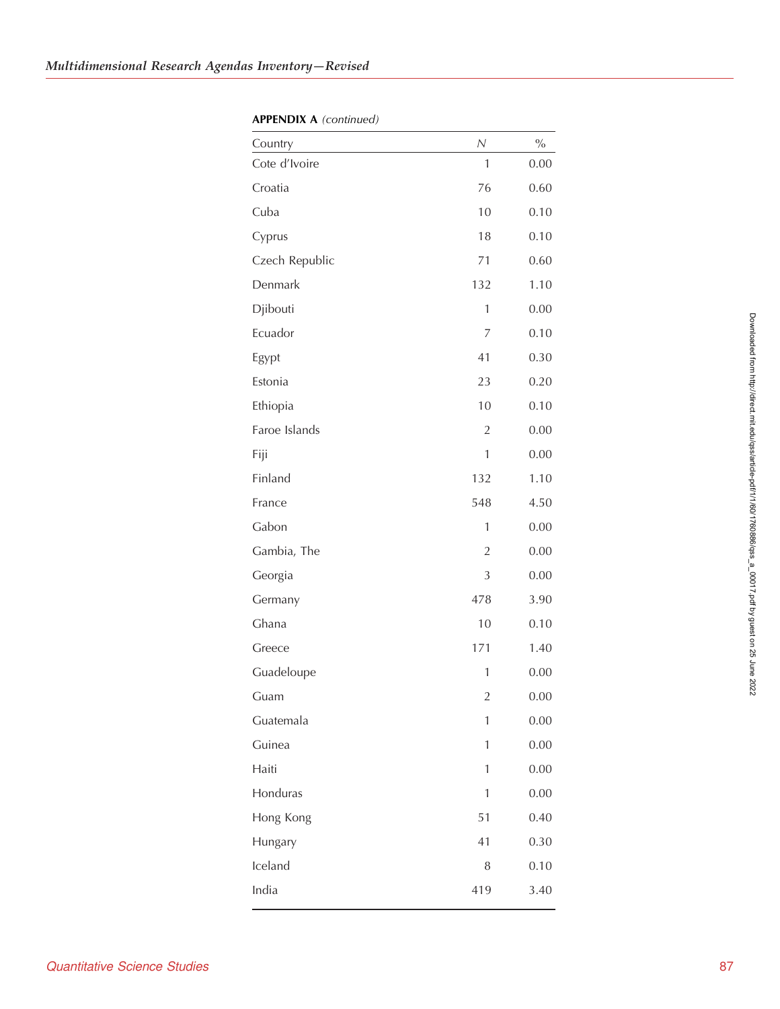| Country        | Ν              | $\frac{0}{0}$ |
|----------------|----------------|---------------|
| Cote d'Ivoire  | 1              | 0.00          |
| Croatia        | 76             | 0.60          |
| Cuba           | 10             | 0.10          |
| Cyprus         | 18             | 0.10          |
| Czech Republic | 71             | 0.60          |
| Denmark        | 132            | 1.10          |
| Djibouti       | 1              | 0.00          |
| Ecuador        | 7              | 0.10          |
| Egypt          | 41             | 0.30          |
| Estonia        | 23             | 0.20          |
| Ethiopia       | 10             | 0.10          |
| Faroe Islands  | $\overline{2}$ | 0.00          |
| Fiji           | 1              | 0.00          |
| Finland        | 132            | 1.10          |
| France         | 548            | 4.50          |
| Gabon          | 1              | 0.00          |
| Gambia, The    | $\overline{2}$ | 0.00          |
| Georgia        | 3              | 0.00          |
| Germany        | 478            | 3.90          |
| Ghana          | 10             | 0.10          |
| Greece         | 171            | 1.40          |
| Guadeloupe     | 1              | 0.00          |
| Guam           | $\overline{c}$ | 0.00          |
| Guatemala      | 1              | 0.00          |
| Guinea         | 1              | 0.00          |
| Haiti          | 1              | 0.00          |
| Honduras       | 1              | 0.00          |
| Hong Kong      | 51             | 0.40          |
| Hungary        | 41             | 0.30          |
| Iceland        | 8              | 0.10          |
| India          | 419            | 3.40          |

APPENDIX A (continued)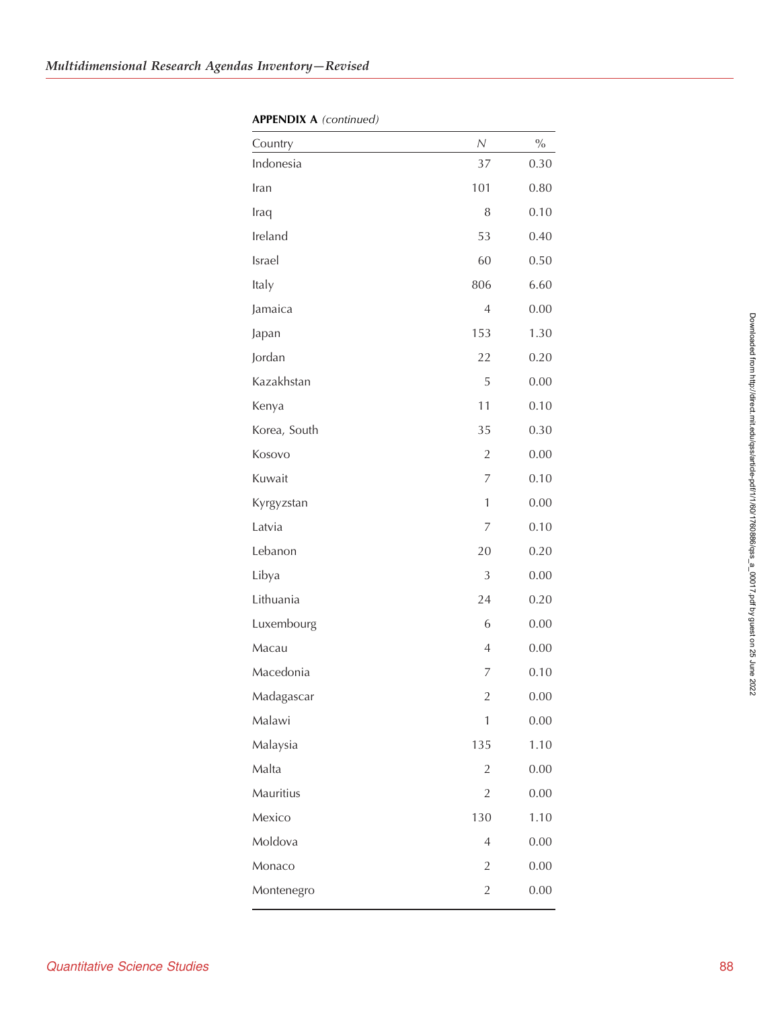| Country      | $\overline{\mathsf{N}}$ | $\frac{0}{0}$ |
|--------------|-------------------------|---------------|
| Indonesia    | 37                      | 0.30          |
| Iran         | 101                     | 0.80          |
| Iraq         | 8                       | 0.10          |
| Ireland      | 53                      | 0.40          |
| Israel       | 60                      | 0.50          |
| Italy        | 806                     | 6.60          |
| Jamaica      | $\overline{4}$          | 0.00          |
| Japan        | 153                     | 1.30          |
| Jordan       | 22                      | 0.20          |
| Kazakhstan   | 5                       | 0.00          |
| Kenya        | 11                      | 0.10          |
| Korea, South | 35                      | 0.30          |
| Kosovo       | $\overline{2}$          | 0.00          |
| Kuwait       | 7                       | 0.10          |
| Kyrgyzstan   | 1                       | 0.00          |
| Latvia       | 7                       | 0.10          |
| Lebanon      | 20                      | 0.20          |
| Libya        | 3                       | 0.00          |
| Lithuania    | 24                      | 0.20          |
| Luxembourg   | 6                       | 0.00          |
| Macau        | $\overline{4}$          | 0.00          |
| Macedonia    | $\overline{7}$          | 0.10          |
| Madagascar   | $\overline{c}$          | 0.00          |
| Malawi       | 1                       | 0.00          |
| Malaysia     | 135                     | 1.10          |
| Malta        | $\overline{2}$          | 0.00          |
| Mauritius    | $\sqrt{2}$              | 0.00          |
| Mexico       | 130                     | 1.10          |
| Moldova      | 4                       | 0.00          |
| Monaco       | $\overline{2}$          | 0.00          |
| Montenegro   | $\overline{2}$          | 0.00          |

APPENDIX A (continued)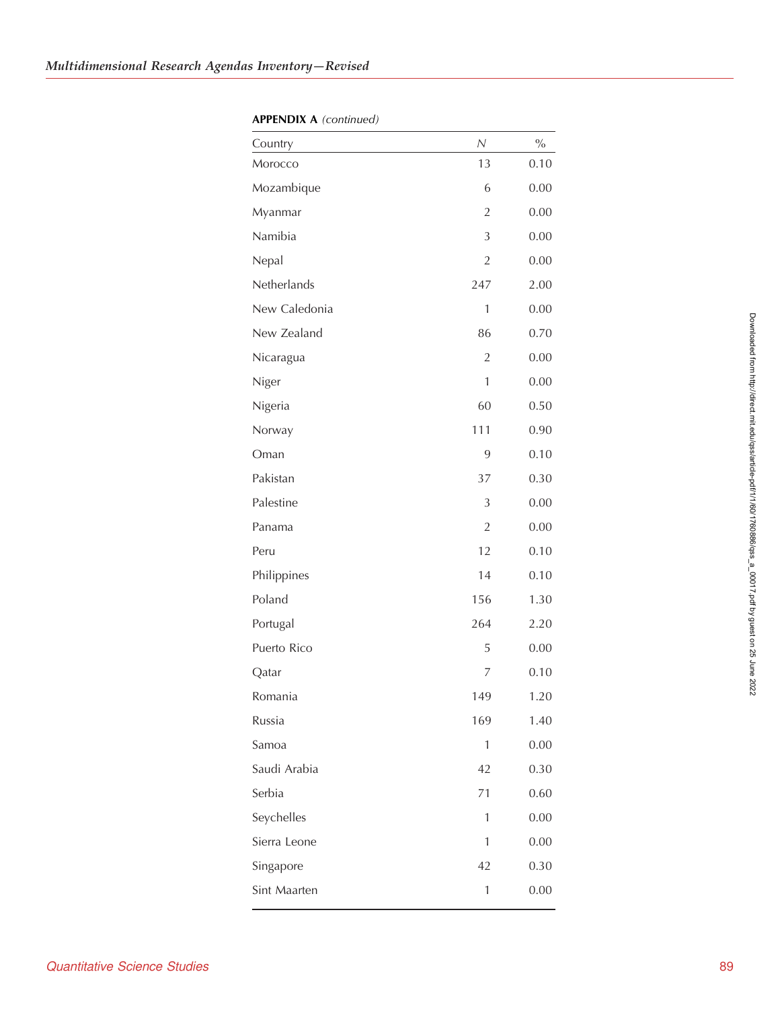| Country       | $\overline{\mathsf{N}}$ | $\frac{0}{0}$ |
|---------------|-------------------------|---------------|
| Morocco       | 13                      | 0.10          |
| Mozambique    | 6                       | 0.00          |
| Myanmar       | $\overline{2}$          | 0.00          |
| Namibia       | 3                       | 0.00          |
| Nepal         | $\overline{2}$          | 0.00          |
| Netherlands   | 247                     | 2.00          |
| New Caledonia | 1                       | 0.00          |
| New Zealand   | 86                      | 0.70          |
| Nicaragua     | $\overline{2}$          | 0.00          |
| Niger         | 1                       | 0.00          |
| Nigeria       | 60                      | 0.50          |
| Norway        | 111                     | 0.90          |
| Oman          | 9                       | 0.10          |
| Pakistan      | 37                      | 0.30          |
| Palestine     | 3                       | 0.00          |
| Panama        | $\overline{2}$          | 0.00          |
| Peru          | 12                      | 0.10          |
| Philippines   | 14                      | 0.10          |
| Poland        | 156                     | 1.30          |
| Portugal      | 264                     | 2.20          |
| Puerto Rico   | 5                       | 0.00          |
| Qatar         | 7                       | 0.10          |
| Romania       | 149                     | 1.20          |
| Russia        | 169                     | 1.40          |
| Samoa         | 1                       | 0.00          |
| Saudi Arabia  | 42                      | 0.30          |
| Serbia        | 71                      | 0.60          |
| Seychelles    | $\mathbf{1}$            | 0.00          |
| Sierra Leone  | 1                       | 0.00          |
| Singapore     | 42                      | 0.30          |
| Sint Maarten  | 1                       | 0.00          |
|               |                         |               |

APPENDIX A (continued)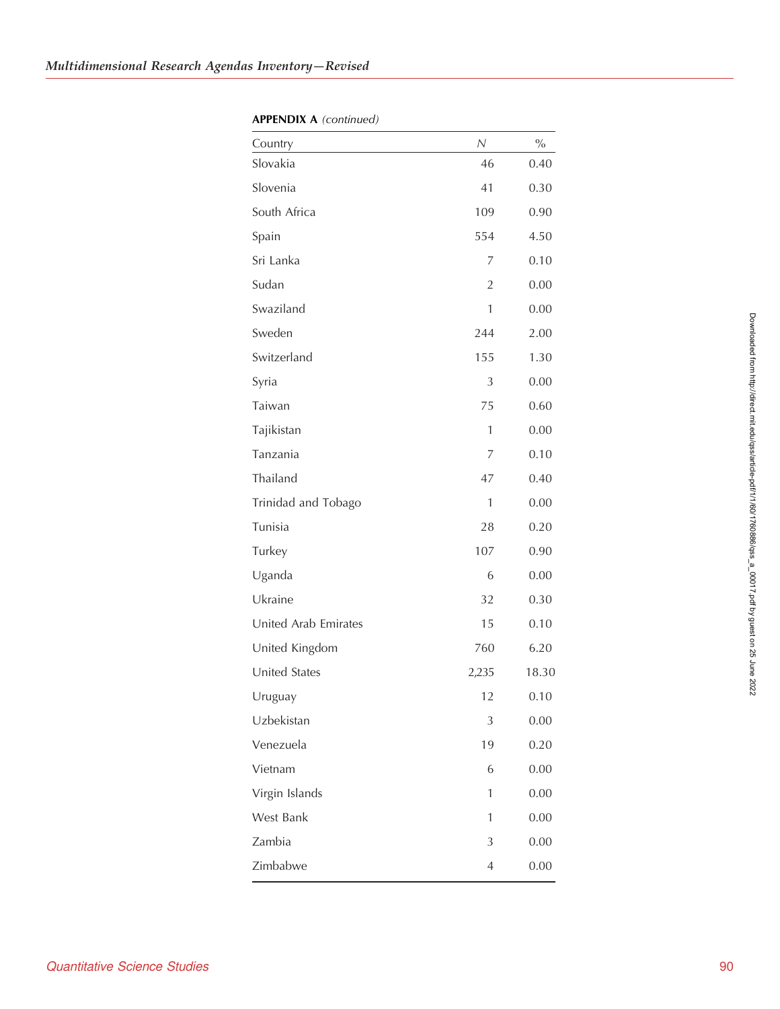| Country              | $\overline{\mathsf{N}}$ | $\frac{0}{0}$ |
|----------------------|-------------------------|---------------|
| Slovakia             | 46                      | 0.40          |
| Slovenia             | 41                      | 0.30          |
| South Africa         | 109                     | 0.90          |
| Spain                | 554                     | 4.50          |
| Sri Lanka            | 7                       | 0.10          |
| Sudan                | 2                       | 0.00          |
| Swaziland            | 1                       | 0.00          |
| Sweden               | 244                     | 2.00          |
| Switzerland          | 155                     | 1.30          |
| Syria                | 3                       | 0.00          |
| Taiwan               | 75                      | 0.60          |
| Tajikistan           | $\mathbf{1}$            | 0.00          |
| Tanzania             | 7                       | 0.10          |
| Thailand             | 47                      | 0.40          |
| Trinidad and Tobago  | 1                       | 0.00          |
| Tunisia              | 28                      | 0.20          |
| Turkey               | 107                     | 0.90          |
| Uganda               | 6                       | 0.00          |
| Ukraine              | 32                      | 0.30          |
| United Arab Emirates | 15                      | 0.10          |
| United Kingdom       | 760                     | 6.20          |
| United States        | 2,235                   | 18.30         |
| Uruguay              | 12                      | 0.10          |
| Uzbekistan           | 3                       | 0.00          |
| Venezuela            | 19                      | 0.20          |
| Vietnam              | 6                       | 0.00          |
| Virgin Islands       | $\mathbf{1}$            | 0.00          |
| West Bank            | $\mathbf{1}$            | 0.00          |
| Zambia               | 3                       | 0.00          |
| Zimbabwe             | $\overline{4}$          | 0.00          |

APPENDIX A (continued)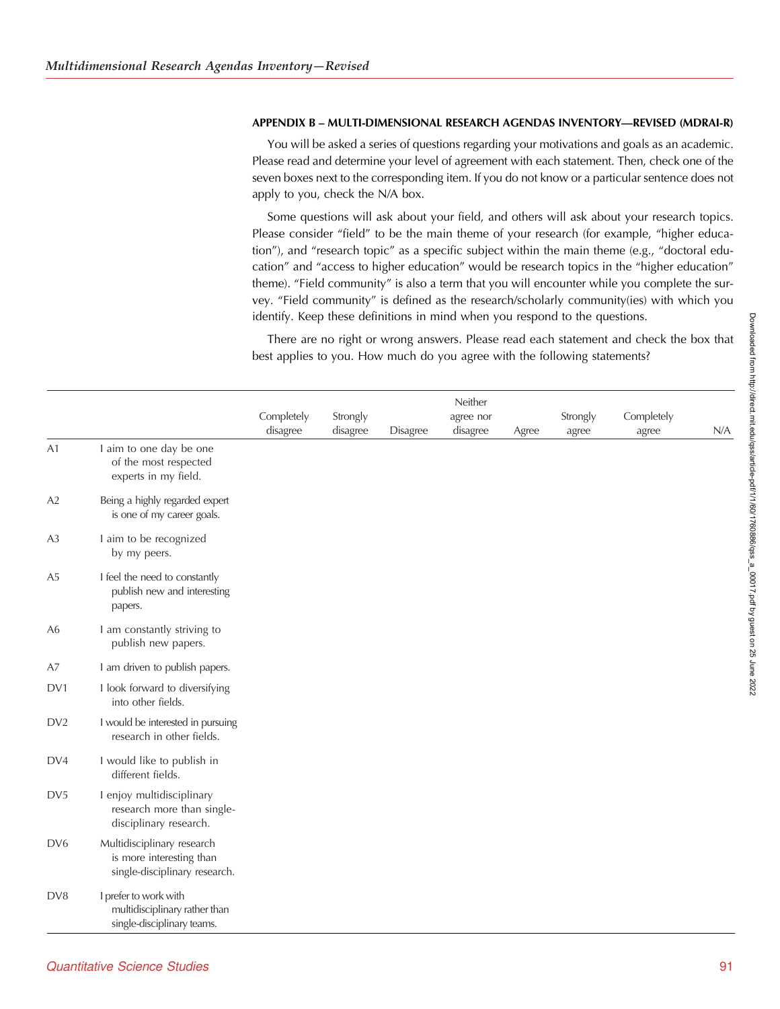### APPENDIX B – MULTI-DIMENSIONAL RESEARCH AGENDAS INVENTORY—REVISED (MDRAI-R)

You will be asked a series of questions regarding your motivations and goals as an academic. Please read and determine your level of agreement with each statement. Then, check one of the seven boxes next to the corresponding item. If you do not know or a particular sentence does not apply to you, check the N/A box.

Some questions will ask about your field, and others will ask about your research topics. Please consider "field" to be the main theme of your research (for example, "higher education"), and "research topic" as a specific subject within the main theme (e.g., "doctoral education" and "access to higher education" would be research topics in the "higher education" theme). "Field community" is also a term that you will encounter while you complete the survey. "Field community" is defined as the research/scholarly community(ies) with which you identify. Keep these definitions in mind when you respond to the questions.

There are no right or wrong answers. Please read each statement and check the box that best applies to you. How much do you agree with the following statements?

|                 |                                                                                         | Completely | Strongly |          | Neither<br>agree nor |       | Strongly | Completely |     |
|-----------------|-----------------------------------------------------------------------------------------|------------|----------|----------|----------------------|-------|----------|------------|-----|
| A1              | I aim to one day be one<br>of the most respected<br>experts in my field.                | disagree   | disagree | Disagree | disagree             | Agree | agree    | agree      | N/A |
| A2              | Being a highly regarded expert<br>is one of my career goals.                            |            |          |          |                      |       |          |            |     |
| A <sub>3</sub>  | I aim to be recognized<br>by my peers.                                                  |            |          |          |                      |       |          |            |     |
| A <sub>5</sub>  | I feel the need to constantly<br>publish new and interesting<br>papers.                 |            |          |          |                      |       |          |            |     |
| A6              | I am constantly striving to<br>publish new papers.                                      |            |          |          |                      |       |          |            |     |
| A7              | I am driven to publish papers.                                                          |            |          |          |                      |       |          |            |     |
| DV1             | I look forward to diversifying<br>into other fields.                                    |            |          |          |                      |       |          |            |     |
| DV <sub>2</sub> | I would be interested in pursuing<br>research in other fields.                          |            |          |          |                      |       |          |            |     |
| DV4             | I would like to publish in<br>different fields.                                         |            |          |          |                      |       |          |            |     |
| DV <sub>5</sub> | I enjoy multidisciplinary<br>research more than single-<br>disciplinary research.       |            |          |          |                      |       |          |            |     |
| DV <sub>6</sub> | Multidisciplinary research<br>is more interesting than<br>single-disciplinary research. |            |          |          |                      |       |          |            |     |
| DV8             | I prefer to work with<br>multidisciplinary rather than<br>single-disciplinary teams.    |            |          |          |                      |       |          |            |     |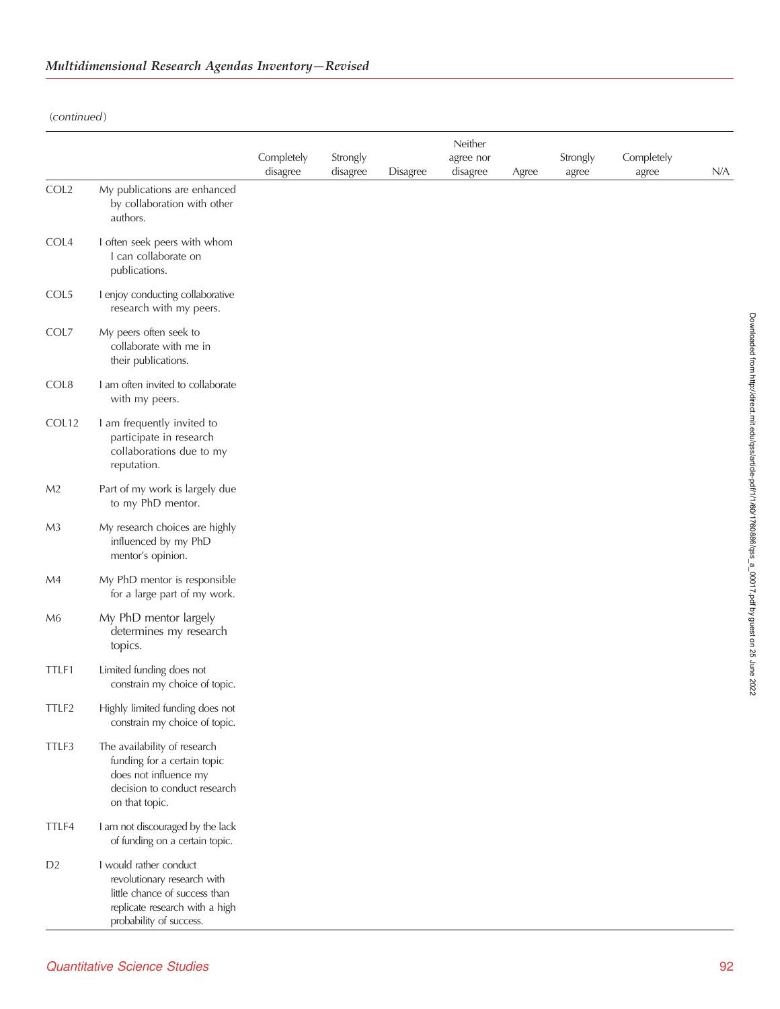(continued)

|                  |                                                                                                                                                     | Completely<br>disagree | Strongly<br>disagree | Disagree | Neither<br>agree nor<br>disagree | Agree | Strongly<br>agree | Completely<br>agree | N/A |
|------------------|-----------------------------------------------------------------------------------------------------------------------------------------------------|------------------------|----------------------|----------|----------------------------------|-------|-------------------|---------------------|-----|
| COL <sub>2</sub> | My publications are enhanced<br>by collaboration with other<br>authors.                                                                             |                        |                      |          |                                  |       |                   |                     |     |
| COL <sub>4</sub> | I often seek peers with whom<br>I can collaborate on<br>publications.                                                                               |                        |                      |          |                                  |       |                   |                     |     |
| COL5             | I enjoy conducting collaborative<br>research with my peers.                                                                                         |                        |                      |          |                                  |       |                   |                     |     |
| COL7             | My peers often seek to<br>collaborate with me in<br>their publications.                                                                             |                        |                      |          |                                  |       |                   |                     |     |
| COL <sub>8</sub> | I am often invited to collaborate<br>with my peers.                                                                                                 |                        |                      |          |                                  |       |                   |                     |     |
| COL12            | I am frequently invited to<br>participate in research<br>collaborations due to my<br>reputation.                                                    |                        |                      |          |                                  |       |                   |                     |     |
| M <sub>2</sub>   | Part of my work is largely due<br>to my PhD mentor.                                                                                                 |                        |                      |          |                                  |       |                   |                     |     |
| M3               | My research choices are highly<br>influenced by my PhD<br>mentor's opinion.                                                                         |                        |                      |          |                                  |       |                   |                     |     |
| M4               | My PhD mentor is responsible<br>for a large part of my work.                                                                                        |                        |                      |          |                                  |       |                   |                     |     |
| M6               | My PhD mentor largely<br>determines my research<br>topics.                                                                                          |                        |                      |          |                                  |       |                   |                     |     |
| TTLF1            | Limited funding does not<br>constrain my choice of topic.                                                                                           |                        |                      |          |                                  |       |                   |                     |     |
| TTLF2            | Highly limited funding does not<br>constrain my choice of topic.                                                                                    |                        |                      |          |                                  |       |                   |                     |     |
| TTLF3            | The availability of research<br>funding for a certain topic<br>does not influence my<br>decision to conduct research<br>on that topic.              |                        |                      |          |                                  |       |                   |                     |     |
| TTLF4            | I am not discouraged by the lack<br>of funding on a certain topic.                                                                                  |                        |                      |          |                                  |       |                   |                     |     |
| D <sub>2</sub>   | I would rather conduct<br>revolutionary research with<br>little chance of success than<br>replicate research with a high<br>probability of success. |                        |                      |          |                                  |       |                   |                     |     |